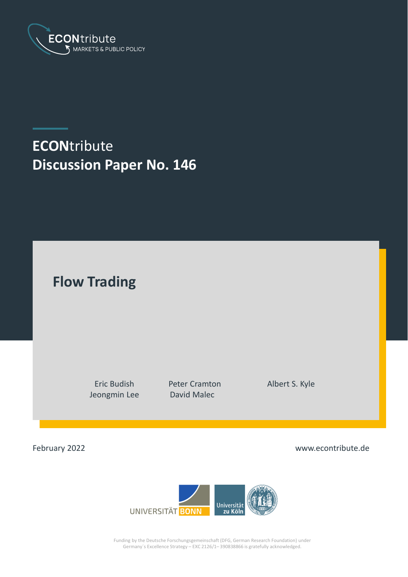

# **ECON**tribute **Discussion Paper No. 146**

**Flow Trading**

Jeongmin Lee David Malec

Eric Budish Peter Cramton Albert S. Kyle

February 2022

www.econtribute.de



Funding by the Deutsche Forschungsgemeinschaft (DFG, German Research Foundation) under Germany´s Excellence Strategy – EXC 2126/1– 390838866 is gratefully acknowledged.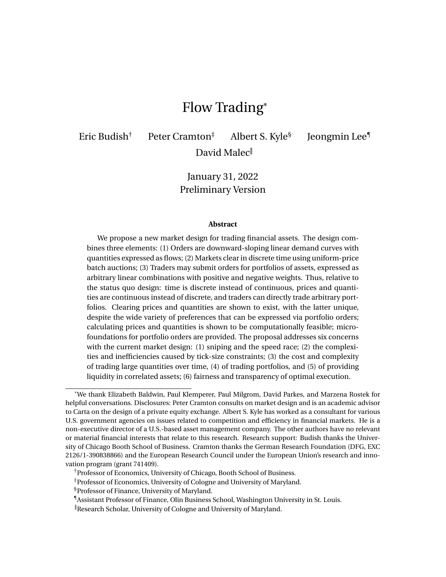## Flow Trading\*

Eric Budish<sup>†</sup> Peter Cramton<sup>‡</sup> Albert S. Kyle<sup>§</sup>

Jeongmin Lee¶

David Malec<sup>ll</sup>

January 31, 2022 Preliminary Version

#### **Abstract**

We propose a new market design for trading financial assets. The design combines three elements: (1) Orders are downward-sloping linear demand curves with quantities expressed as flows; (2) Markets clear in discrete time using uniform-price batch auctions; (3) Traders may submit orders for portfolios of assets, expressed as arbitrary linear combinations with positive and negative weights. Thus, relative to the status quo design: time is discrete instead of continuous, prices and quantities are continuous instead of discrete, and traders can directly trade arbitrary portfolios. Clearing prices and quantities are shown to exist, with the latter unique, despite the wide variety of preferences that can be expressed via portfolio orders; calculating prices and quantities is shown to be computationally feasible; microfoundations for portfolio orders are provided. The proposal addresses six concerns with the current market design: (1) sniping and the speed race; (2) the complexities and inefficiencies caused by tick-size constraints; (3) the cost and complexity of trading large quantities over time, (4) of trading portfolios, and (5) of providing liquidity in correlated assets; (6) fairness and transparency of optimal execution.

<sup>\*</sup>We thank Elizabeth Baldwin, Paul Klemperer, Paul Milgrom, David Parkes, and Marzena Rostek for helpful conversations. Disclosures: Peter Cramton consults on market design and is an academic advisor to Carta on the design of a private equity exchange. Albert S. Kyle has worked as a consultant for various U.S. government agencies on issues related to competition and efficiency in financial markets. He is a non-executive director of a U.S.-based asset management company. The other authors have no relevant or material financial interests that relate to this research. Research support: Budish thanks the University of Chicago Booth School of Business. Cramton thanks the German Research Foundation (DFG, EXC 2126/1-390838866) and the European Research Council under the European Union's research and innovation program (grant 741409).

<sup>†</sup>Professor of Economics, University of Chicago, Booth School of Business.

<sup>‡</sup>Professor of Economics, University of Cologne and University of Maryland.

<sup>§</sup>Professor of Finance, University of Maryland.

<sup>¶</sup>Assistant Professor of Finance, Olin Business School, Washington University in St. Louis.

Research Scholar, University of Cologne and University of Maryland.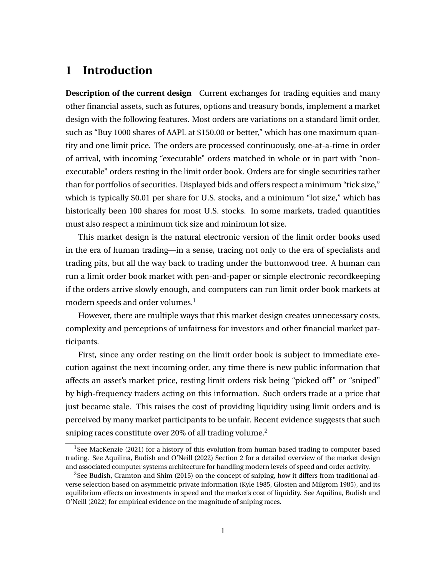## **1 Introduction**

**Description of the current design** Current exchanges for trading equities and many other financial assets, such as futures, options and treasury bonds, implement a market design with the following features. Most orders are variations on a standard limit order, such as "Buy 1000 shares of AAPL at \$150.00 or better," which has one maximum quantity and one limit price. The orders are processed continuously, one-at-a-time in order of arrival, with incoming "executable" orders matched in whole or in part with "nonexecutable" orders resting in the limit order book. Orders are for single securities rather than for portfolios of securities. Displayed bids and offers respect a minimum "tick size," which is typically \$0.01 per share for U.S. stocks, and a minimum "lot size," which has historically been 100 shares for most U.S. stocks. In some markets, traded quantities must also respect a minimum tick size and minimum lot size.

This market design is the natural electronic version of the limit order books used in the era of human trading—in a sense, tracing not only to the era of specialists and trading pits, but all the way back to trading under the buttonwood tree. A human can run a limit order book market with pen-and-paper or simple electronic recordkeeping if the orders arrive slowly enough, and computers can run limit order book markets at modern speeds and order volumes.<sup>[1](#page-2-0)</sup>

However, there are multiple ways that this market design creates unnecessary costs, complexity and perceptions of unfairness for investors and other financial market participants.

First, since any order resting on the limit order book is subject to immediate execution against the next incoming order, any time there is new public information that affects an asset's market price, resting limit orders risk being "picked off" or "sniped" by high-frequency traders acting on this information. Such orders trade at a price that just became stale. This raises the cost of providing liquidity using limit orders and is perceived by many market participants to be unfair. Recent evidence suggests that such sniping races constitute over [2](#page-2-1)0% of all trading volume.<sup>2</sup>

<span id="page-2-0"></span><sup>&</sup>lt;sup>1</sup>See MacKenzie (2021) for a history of this evolution from human based trading to computer based trading. See Aquilina, Budish and O'Neill (2022) Section 2 for a detailed overview of the market design and associated computer systems architecture for handling modern levels of speed and order activity.

<span id="page-2-1"></span> $2$ See Budish, Cramton and Shim (2015) on the concept of sniping, how it differs from traditional adverse selection based on asymmetric private information (Kyle 1985, Glosten and Milgrom 1985), and its equilibrium effects on investments in speed and the market's cost of liquidity. See Aquilina, Budish and O'Neill (2022) for empirical evidence on the magnitude of sniping races.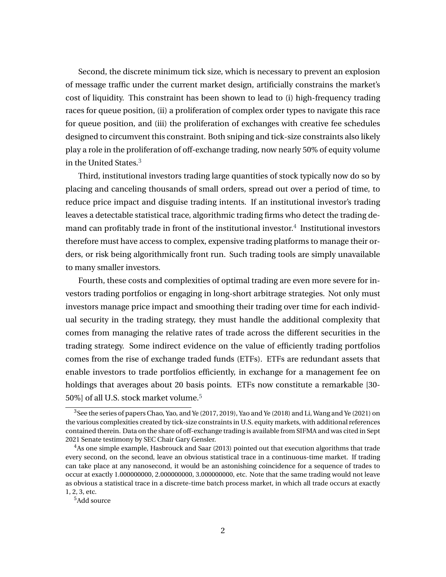Second, the discrete minimum tick size, which is necessary to prevent an explosion of message traffic under the current market design, artificially constrains the market's cost of liquidity. This constraint has been shown to lead to (i) high-frequency trading races for queue position, (ii) a proliferation of complex order types to navigate this race for queue position, and (iii) the proliferation of exchanges with creative fee schedules designed to circumvent this constraint. Both sniping and tick-size constraints also likely play a role in the proliferation of off-exchange trading, now nearly 50% of equity volume in the United States.[3](#page-3-0)

Third, institutional investors trading large quantities of stock typically now do so by placing and canceling thousands of small orders, spread out over a period of time, to reduce price impact and disguise trading intents. If an institutional investor's trading leaves a detectable statistical trace, algorithmic trading firms who detect the trading demand can profitably trade in front of the institutional investor. $^4\,$  $^4\,$  $^4\,$  Institutional investors therefore must have access to complex, expensive trading platforms to manage their orders, or risk being algorithmically front run. Such trading tools are simply unavailable to many smaller investors.

Fourth, these costs and complexities of optimal trading are even more severe for investors trading portfolios or engaging in long-short arbitrage strategies. Not only must investors manage price impact and smoothing their trading over time for each individual security in the trading strategy, they must handle the additional complexity that comes from managing the relative rates of trade across the different securities in the trading strategy. Some indirect evidence on the value of efficiently trading portfolios comes from the rise of exchange traded funds (ETFs). ETFs are redundant assets that enable investors to trade portfolios efficiently, in exchange for a management fee on holdings that averages about 20 basis points. ETFs now constitute a remarkable [30- [5](#page-3-2)0%] of all U.S. stock market volume.<sup>5</sup>

<span id="page-3-0"></span> $^3$ See the series of papers Chao, Yao, and Ye (2017, 2019), Yao and Ye (2018) and Li, Wang and Ye (2021) on the various complexities created by tick-size constraints in U.S. equity markets, with additional references contained therein. Data on the share of off-exchange trading is available from SIFMA and was cited in Sept 2021 Senate testimony by SEC Chair Gary Gensler.

<span id="page-3-1"></span><sup>4</sup>As one simple example, Hasbrouck and Saar (2013) pointed out that execution algorithms that trade every second, on the second, leave an obvious statistical trace in a continuous-time market. If trading can take place at any nanosecond, it would be an astonishing coincidence for a sequence of trades to occur at exactly 1.000000000, 2.000000000, 3.000000000, etc. Note that the same trading would not leave as obvious a statistical trace in a discrete-time batch process market, in which all trade occurs at exactly 1, 2, 3, etc.

<span id="page-3-2"></span><sup>5</sup>Add source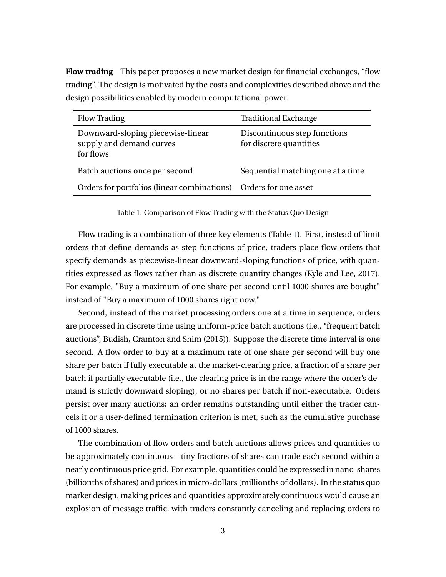**Flow trading** This paper proposes a new market design for financial exchanges, "flow trading". The design is motivated by the costs and complexities described above and the design possibilities enabled by modern computational power.

<span id="page-4-0"></span>

| <b>Flow Trading</b>                                                        | <b>Traditional Exchange</b>                             |
|----------------------------------------------------------------------------|---------------------------------------------------------|
| Downward-sloping piecewise-linear<br>supply and demand curves<br>for flows | Discontinuous step functions<br>for discrete quantities |
| Batch auctions once per second                                             | Sequential matching one at a time                       |
| Orders for portfolios (linear combinations) Orders for one asset           |                                                         |

Table 1: Comparison of Flow Trading with the Status Quo Design

Flow trading is a combination of three key elements (Table [1\)](#page-4-0). First, instead of limit orders that define demands as step functions of price, traders place flow orders that specify demands as piecewise-linear downward-sloping functions of price, with quantities expressed as flows rather than as discrete quantity changes (Kyle and Lee, 2017). For example, "Buy a maximum of one share per second until 1000 shares are bought" instead of "Buy a maximum of 1000 shares right now."

Second, instead of the market processing orders one at a time in sequence, orders are processed in discrete time using uniform-price batch auctions (i.e., "frequent batch auctions", Budish, Cramton and Shim (2015)). Suppose the discrete time interval is one second. A flow order to buy at a maximum rate of one share per second will buy one share per batch if fully executable at the market-clearing price, a fraction of a share per batch if partially executable (i.e., the clearing price is in the range where the order's demand is strictly downward sloping), or no shares per batch if non-executable. Orders persist over many auctions; an order remains outstanding until either the trader cancels it or a user-defined termination criterion is met, such as the cumulative purchase of 1000 shares.

The combination of flow orders and batch auctions allows prices and quantities to be approximately continuous—tiny fractions of shares can trade each second within a nearly continuous price grid. For example, quantities could be expressed in nano-shares (billionths of shares) and prices in micro-dollars (millionths of dollars). In the status quo market design, making prices and quantities approximately continuous would cause an explosion of message traffic, with traders constantly canceling and replacing orders to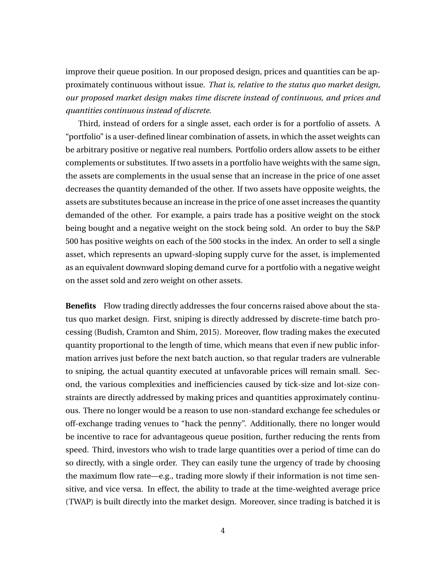improve their queue position. In our proposed design, prices and quantities can be approximately continuous without issue. *That is, relative to the status quo market design, our proposed market design makes time discrete instead of continuous, and prices and quantities continuous instead of discrete.*

Third, instead of orders for a single asset, each order is for a portfolio of assets. A "portfolio" is a user-defined linear combination of assets, in which the asset weights can be arbitrary positive or negative real numbers. Portfolio orders allow assets to be either complements or substitutes. If two assets in a portfolio have weights with the same sign, the assets are complements in the usual sense that an increase in the price of one asset decreases the quantity demanded of the other. If two assets have opposite weights, the assets are substitutes because an increase in the price of one asset increases the quantity demanded of the other. For example, a pairs trade has a positive weight on the stock being bought and a negative weight on the stock being sold. An order to buy the S&P 500 has positive weights on each of the 500 stocks in the index. An order to sell a single asset, which represents an upward-sloping supply curve for the asset, is implemented as an equivalent downward sloping demand curve for a portfolio with a negative weight on the asset sold and zero weight on other assets.

**Benefits** Flow trading directly addresses the four concerns raised above about the status quo market design. First, sniping is directly addressed by discrete-time batch processing (Budish, Cramton and Shim, 2015). Moreover, flow trading makes the executed quantity proportional to the length of time, which means that even if new public information arrives just before the next batch auction, so that regular traders are vulnerable to sniping, the actual quantity executed at unfavorable prices will remain small. Second, the various complexities and inefficiencies caused by tick-size and lot-size constraints are directly addressed by making prices and quantities approximately continuous. There no longer would be a reason to use non-standard exchange fee schedules or off-exchange trading venues to "hack the penny". Additionally, there no longer would be incentive to race for advantageous queue position, further reducing the rents from speed. Third, investors who wish to trade large quantities over a period of time can do so directly, with a single order. They can easily tune the urgency of trade by choosing the maximum flow rate—e.g., trading more slowly if their information is not time sensitive, and vice versa. In effect, the ability to trade at the time-weighted average price (TWAP) is built directly into the market design. Moreover, since trading is batched it is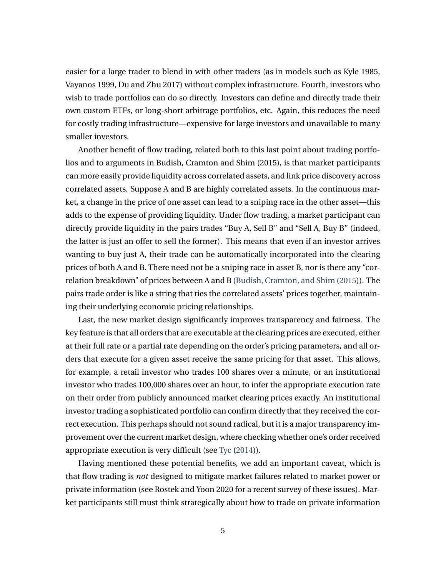easier for a large trader to blend in with other traders (as in models such as Kyle 1985, Vayanos 1999, Du and Zhu 2017) without complex infrastructure. Fourth, investors who wish to trade portfolios can do so directly. Investors can define and directly trade their own custom ETFs, or long-short arbitrage portfolios, etc. Again, this reduces the need for costly trading infrastructure—expensive for large investors and unavailable to many smaller investors.

Another benefit of flow trading, related both to this last point about trading portfolios and to arguments in Budish, Cramton and Shim (2015), is that market participants can more easily provide liquidity across correlated assets, and link price discovery across correlated assets. Suppose A and B are highly correlated assets. In the continuous market, a change in the price of one asset can lead to a sniping race in the other asset—this adds to the expense of providing liquidity. Under flow trading, a market participant can directly provide liquidity in the pairs trades "Buy A, Sell B" and "Sell A, Buy B" (indeed, the latter is just an offer to sell the former). This means that even if an investor arrives wanting to buy just A, their trade can be automatically incorporated into the clearing prices of both A and B. There need not be a sniping race in asset B, nor is there any "correlation breakdown" of prices between A and B [\(Budish, Cramton, and Shim](#page-46-0) [\(2015\)](#page-46-0)). The pairs trade order is like a string that ties the correlated assets' prices together, maintaining their underlying economic pricing relationships.

Last, the new market design significantly improves transparency and fairness. The key feature is that all orders that are executable at the clearing prices are executed, either at their full rate or a partial rate depending on the order's pricing parameters, and all orders that execute for a given asset receive the same pricing for that asset. This allows, for example, a retail investor who trades 100 shares over a minute, or an institutional investor who trades 100,000 shares over an hour, to infer the appropriate execution rate on their order from publicly announced market clearing prices exactly. An institutional investor trading a sophisticated portfolio can confirm directly that they received the correct execution. This perhaps should not sound radical, but it is a major transparency improvement over the current market design, where checking whether one's order received appropriate execution is very difficult (see [Tyc](#page-50-0) [\(2014\)](#page-50-0)).

Having mentioned these potential benefits, we add an important caveat, which is that flow trading is *not* designed to mitigate market failures related to market power or private information (see Rostek and Yoon 2020 for a recent survey of these issues). Market participants still must think strategically about how to trade on private information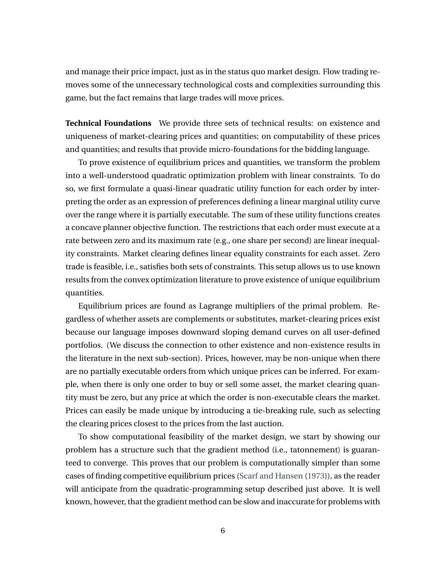and manage their price impact, just as in the status quo market design. Flow trading removes some of the unnecessary technological costs and complexities surrounding this game, but the fact remains that large trades will move prices.

**Technical Foundations** We provide three sets of technical results: on existence and uniqueness of market-clearing prices and quantities; on computability of these prices and quantities; and results that provide micro-foundations for the bidding language.

To prove existence of equilibrium prices and quantities, we transform the problem into a well-understood quadratic optimization problem with linear constraints. To do so, we first formulate a quasi-linear quadratic utility function for each order by interpreting the order as an expression of preferences defining a linear marginal utility curve over the range where it is partially executable. The sum of these utility functions creates a concave planner objective function. The restrictions that each order must execute at a rate between zero and its maximum rate (e.g., one share per second) are linear inequality constraints. Market clearing defines linear equality constraints for each asset. Zero trade is feasible, i.e., satisfies both sets of constraints. This setup allows us to use known results from the convex optimization literature to prove existence of unique equilibrium quantities.

Equilibrium prices are found as Lagrange multipliers of the primal problem. Regardless of whether assets are complements or substitutes, market-clearing prices exist because our language imposes downward sloping demand curves on all user-defined portfolios. (We discuss the connection to other existence and non-existence results in the literature in the next sub-section). Prices, however, may be non-unique when there are no partially executable orders from which unique prices can be inferred. For example, when there is only one order to buy or sell some asset, the market clearing quantity must be zero, but any price at which the order is non-executable clears the market. Prices can easily be made unique by introducing a tie-breaking rule, such as selecting the clearing prices closest to the prices from the last auction.

To show computational feasibility of the market design, we start by showing our problem has a structure such that the gradient method (i.e., tatonnement) is guaranteed to converge. This proves that our problem is computationally simpler than some cases of finding competitive equilibrium prices [\(Scarf and Hansen](#page-50-1) [\(1973\)](#page-50-1)), as the reader will anticipate from the quadratic-programming setup described just above. It is well known, however, that the gradient method can be slow and inaccurate for problems with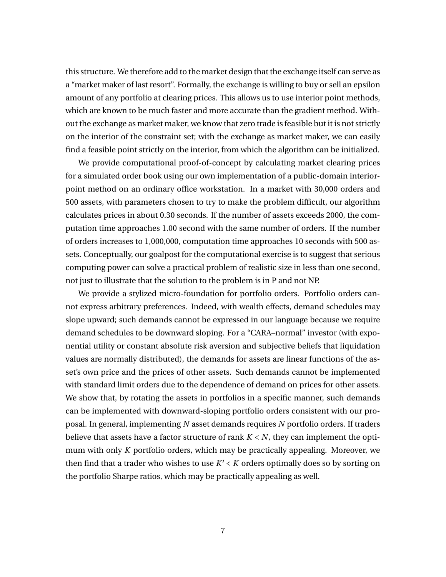this structure. We therefore add to the market design that the exchange itself can serve as a "market maker of last resort". Formally, the exchange is willing to buy or sell an epsilon amount of any portfolio at clearing prices. This allows us to use interior point methods, which are known to be much faster and more accurate than the gradient method. Without the exchange as market maker, we know that zero trade is feasible but it is not strictly on the interior of the constraint set; with the exchange as market maker, we can easily find a feasible point strictly on the interior, from which the algorithm can be initialized.

We provide computational proof-of-concept by calculating market clearing prices for a simulated order book using our own implementation of a public-domain interiorpoint method on an ordinary office workstation. In a market with 30,000 orders and 500 assets, with parameters chosen to try to make the problem difficult, our algorithm calculates prices in about 0.30 seconds. If the number of assets exceeds 2000, the computation time approaches 1.00 second with the same number of orders. If the number of orders increases to 1,000,000, computation time approaches 10 seconds with 500 assets. Conceptually, our goalpost for the computational exercise is to suggest that serious computing power can solve a practical problem of realistic size in less than one second, not just to illustrate that the solution to the problem is in P and not NP.

We provide a stylized micro-foundation for portfolio orders. Portfolio orders cannot express arbitrary preferences. Indeed, with wealth effects, demand schedules may slope upward; such demands cannot be expressed in our language because we require demand schedules to be downward sloping. For a "CARA–normal" investor (with exponential utility or constant absolute risk aversion and subjective beliefs that liquidation values are normally distributed), the demands for assets are linear functions of the asset's own price and the prices of other assets. Such demands cannot be implemented with standard limit orders due to the dependence of demand on prices for other assets. We show that, by rotating the assets in portfolios in a specific manner, such demands can be implemented with downward-sloping portfolio orders consistent with our proposal. In general, implementing *N* asset demands requires *N* portfolio orders. If traders believe that assets have a factor structure of rank  $K < N$ , they can implement the optimum with only *K* portfolio orders, which may be practically appealing. Moreover, we then find that a trader who wishes to use *K* ′ < *K* orders optimally does so by sorting on the portfolio Sharpe ratios, which may be practically appealing as well.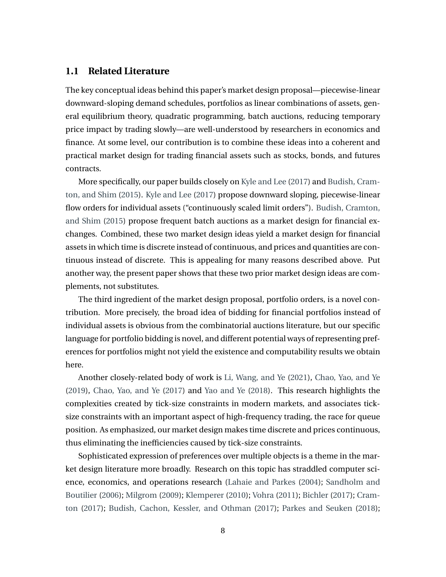#### **1.1 Related Literature**

The key conceptual ideas behind this paper's market design proposal—piecewise-linear downward-sloping demand schedules, portfolios as linear combinations of assets, general equilibrium theory, quadratic programming, batch auctions, reducing temporary price impact by trading slowly—are well-understood by researchers in economics and finance. At some level, our contribution is to combine these ideas into a coherent and practical market design for trading financial assets such as stocks, bonds, and futures contracts.

More specifically, our paper builds closely on [Kyle and Lee](#page-48-0) [\(2017\)](#page-48-0) and [Budish, Cram](#page-46-0)[ton, and Shim](#page-46-0) [\(2015\)](#page-46-0). [Kyle and Lee](#page-48-0) [\(2017\)](#page-48-0) propose downward sloping, piecewise-linear flow orders for individual assets ("continuously scaled limit orders"). [Budish, Cramton,](#page-46-0) [and Shim](#page-46-0) [\(2015\)](#page-46-0) propose frequent batch auctions as a market design for financial exchanges. Combined, these two market design ideas yield a market design for financial assets in which time is discrete instead of continuous, and prices and quantities are continuous instead of discrete. This is appealing for many reasons described above. Put another way, the present paper shows that these two prior market design ideas are complements, not substitutes.

The third ingredient of the market design proposal, portfolio orders, is a novel contribution. More precisely, the broad idea of bidding for financial portfolios instead of individual assets is obvious from the combinatorial auctions literature, but our specific language for portfolio bidding is novel, and different potential ways of representing preferences for portfolios might not yield the existence and computability results we obtain here.

Another closely-related body of work is [Li, Wang, and Ye](#page-48-1) [\(2021\)](#page-48-1), [Chao, Yao, and Ye](#page-47-0) [\(2019\)](#page-47-0), [Chao, Yao, and Ye](#page-46-1) [\(2017\)](#page-46-1) and [Yao and Ye](#page-50-2) [\(2018\)](#page-50-2). This research highlights the complexities created by tick-size constraints in modern markets, and associates ticksize constraints with an important aspect of high-frequency trading, the race for queue position. As emphasized, our market design makes time discrete and prices continuous, thus eliminating the inefficiencies caused by tick-size constraints.

Sophisticated expression of preferences over multiple objects is a theme in the market design literature more broadly. Research on this topic has straddled computer science, economics, and operations research [\(Lahaie and Parkes](#page-48-2) [\(2004\)](#page-48-2); [Sandholm and](#page-50-3) [Boutilier](#page-50-3) [\(2006\)](#page-50-3); [Milgrom](#page-49-0) [\(2009\)](#page-49-0); [Klemperer](#page-48-3) [\(2010\)](#page-48-3); [Vohra](#page-50-4) [\(2011\)](#page-50-4); [Bichler](#page-46-2) [\(2017\)](#page-46-2); [Cram](#page-47-1)[ton](#page-47-1) [\(2017\)](#page-47-1); [Budish, Cachon, Kessler, and Othman](#page-46-3) [\(2017\)](#page-46-3); [Parkes and Seuken](#page-49-1) [\(2018\)](#page-49-1);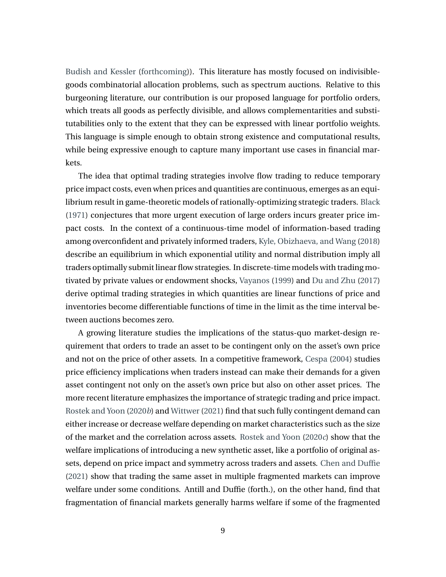[Budish and Kessler](#page-46-4) [\(forthcoming\)](#page-46-4)). This literature has mostly focused on indivisiblegoods combinatorial allocation problems, such as spectrum auctions. Relative to this burgeoning literature, our contribution is our proposed language for portfolio orders, which treats all goods as perfectly divisible, and allows complementarities and substitutabilities only to the extent that they can be expressed with linear portfolio weights. This language is simple enough to obtain strong existence and computational results, while being expressive enough to capture many important use cases in financial markets.

The idea that optimal trading strategies involve flow trading to reduce temporary price impact costs, even when prices and quantities are continuous, emerges as an equilibrium result in game-theoretic models of rationally-optimizing strategic traders. [Black](#page-46-5) [\(1971\)](#page-46-5) conjectures that more urgent execution of large orders incurs greater price impact costs. In the context of a continuous-time model of information-based trading among overconfident and privately informed traders, [Kyle, Obizhaeva, and Wang](#page-48-4) [\(2018\)](#page-48-4) describe an equilibrium in which exponential utility and normal distribution imply all traders optimally submit linear flow strategies. In discrete-time models with trading motivated by private values or endowment shocks, [Vayanos](#page-50-5) [\(1999\)](#page-50-5) and [Du and Zhu](#page-47-2) [\(2017\)](#page-47-2) derive optimal trading strategies in which quantities are linear functions of price and inventories become differentiable functions of time in the limit as the time interval between auctions becomes zero.

A growing literature studies the implications of the status-quo market-design requirement that orders to trade an asset to be contingent only on the asset's own price and not on the price of other assets. In a competitive framework, [Cespa](#page-46-6) [\(2004\)](#page-46-6) studies price efficiency implications when traders instead can make their demands for a given asset contingent not only on the asset's own price but also on other asset prices. The more recent literature emphasizes the importance of strategic trading and price impact. [Rostek and Yoon](#page-49-2) [\(2020](#page-49-2)*b*) and [Wittwer](#page-50-6) [\(2021\)](#page-50-6) find that such fully contingent demand can either increase or decrease welfare depending on market characteristics such as the size of the market and the correlation across assets. [Rostek and Yoon](#page-49-3) [\(2020](#page-49-3)*c*) show that the welfare implications of introducing a new synthetic asset, like a portfolio of original assets, depend on price impact and symmetry across traders and assets. [Chen and Duffie](#page-47-3) [\(2021\)](#page-47-3) show that trading the same asset in multiple fragmented markets can improve welfare under some conditions. Antill and Duffie (forth.), on the other hand, find that fragmentation of financial markets generally harms welfare if some of the fragmented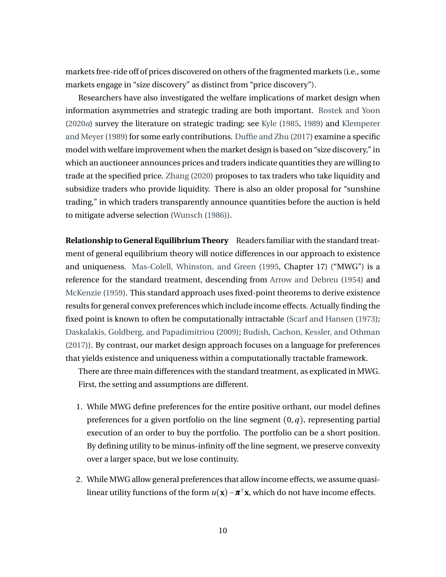markets free-ride off of prices discovered on others of the fragmented markets (i.e., some markets engage in "size discovery" as distinct from "price discovery").

Researchers have also investigated the welfare implications of market design when information asymmetries and strategic trading are both important. [Rostek and Yoon](#page-49-4) [\(2020](#page-49-4)*a*) survey the literature on strategic trading; see [Kyle](#page-48-5) [\(1985,](#page-48-5) [1989\)](#page-48-6) and [Klemperer](#page-48-7) [and Meyer\(1989\)](#page-48-7) for some early contributions. [Duffie and Zhu](#page-47-4) [\(2017\)](#page-47-4) examine a specific model with welfare improvement when the market design is based on "size discovery," in which an auctioneer announces prices and traders indicate quantities they are willing to trade at the specified price. [Zhang](#page-50-7) [\(2020\)](#page-50-7) proposes to tax traders who take liquidity and subsidize traders who provide liquidity. There is also an older proposal for "sunshine trading," in which traders transparently announce quantities before the auction is held to mitigate adverse selection [\(Wunsch](#page-50-8) [\(1986\)](#page-50-8)).

**Relationship to General Equilibrium Theory** Readers familiar with the standard treatment of general equilibrium theory will notice differences in our approach to existence and uniqueness. [Mas-Colell, Whinston, and Green](#page-49-5) [\(1995,](#page-49-5) Chapter 17) ("MWG") is a reference for the standard treatment, descending from [Arrow and Debreu](#page-46-7) [\(1954\)](#page-46-7) and [McKenzie](#page-49-6) [\(1959\)](#page-49-6). This standard approach uses fixed-point theorems to derive existence results for general convex preferences which include income effects. Actually finding the fixed point is known to often be computationally intractable [\(Scarf and Hansen](#page-50-1) [\(1973\)](#page-50-1); [Daskalakis, Goldberg, and Papadimitriou](#page-47-5) [\(2009\)](#page-47-5); [Budish, Cachon, Kessler, and Othman](#page-46-3) [\(2017\)](#page-46-3)). By contrast, our market design approach focuses on a language for preferences that yields existence and uniqueness within a computationally tractable framework.

There are three main differences with the standard treatment, as explicated in MWG. First, the setting and assumptions are different.

- 1. While MWG define preferences for the entire positive orthant, our model defines preferences for a given portfolio on the line segment  $(0, q)$ , representing partial execution of an order to buy the portfolio. The portfolio can be a short position. By defining utility to be minus-infinity off the line segment, we preserve convexity over a larger space, but we lose continuity.
- 2. While MWG allow general preferences that allow income effects, we assume quasilinear utility functions of the form  $u(\mathbf{x}) - \pi^{\top}\mathbf{x}$ , which do not have income effects.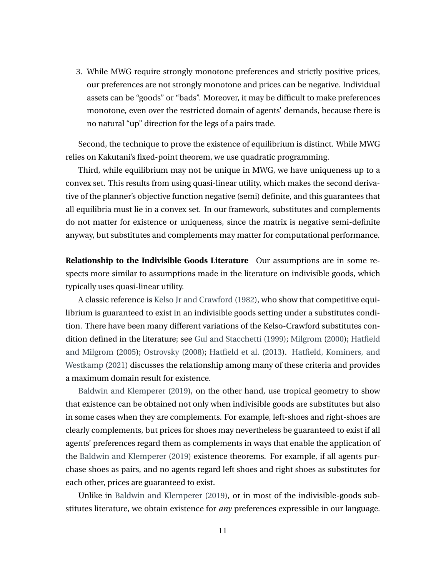3. While MWG require strongly monotone preferences and strictly positive prices, our preferences are not strongly monotone and prices can be negative. Individual assets can be "goods" or "bads". Moreover, it may be difficult to make preferences monotone, even over the restricted domain of agents' demands, because there is no natural "up" direction for the legs of a pairs trade.

Second, the technique to prove the existence of equilibrium is distinct. While MWG relies on Kakutani's fixed-point theorem, we use quadratic programming.

Third, while equilibrium may not be unique in MWG, we have uniqueness up to a convex set. This results from using quasi-linear utility, which makes the second derivative of the planner's objective function negative (semi) definite, and this guarantees that all equilibria must lie in a convex set. In our framework, substitutes and complements do not matter for existence or uniqueness, since the matrix is negative semi-definite anyway, but substitutes and complements may matter for computational performance.

**Relationship to the Indivisible Goods Literature** Our assumptions are in some respects more similar to assumptions made in the literature on indivisible goods, which typically uses quasi-linear utility.

A classic reference is [Kelso Jr and Crawford](#page-48-8) [\(1982\)](#page-48-8), who show that competitive equilibrium is guaranteed to exist in an indivisible goods setting under a substitutes condition. There have been many different variations of the Kelso-Crawford substitutes condition defined in the literature; see [Gul and Stacchetti](#page-47-6) [\(1999\)](#page-47-6); [Milgrom](#page-49-7) [\(2000\)](#page-49-7); [Hatfield](#page-47-7) [and Milgrom](#page-47-7) [\(2005\)](#page-47-7); [Ostrovsky](#page-49-8) [\(2008\)](#page-49-8); [Hatfield et al.](#page-48-9) [\(2013\)](#page-48-9). [Hatfield, Kominers, and](#page-48-10) [Westkamp](#page-48-10) [\(2021\)](#page-48-10) discusses the relationship among many of these criteria and provides a maximum domain result for existence.

[Baldwin and Klemperer](#page-46-8) [\(2019\)](#page-46-8), on the other hand, use tropical geometry to show that existence can be obtained not only when indivisible goods are substitutes but also in some cases when they are complements. For example, left-shoes and right-shoes are clearly complements, but prices for shoes may nevertheless be guaranteed to exist if all agents' preferences regard them as complements in ways that enable the application of the [Baldwin and Klemperer](#page-46-8) [\(2019\)](#page-46-8) existence theorems. For example, if all agents purchase shoes as pairs, and no agents regard left shoes and right shoes as substitutes for each other, prices are guaranteed to exist.

Unlike in [Baldwin and Klemperer](#page-46-8) [\(2019\)](#page-46-8), or in most of the indivisible-goods substitutes literature, we obtain existence for *any* preferences expressible in our language.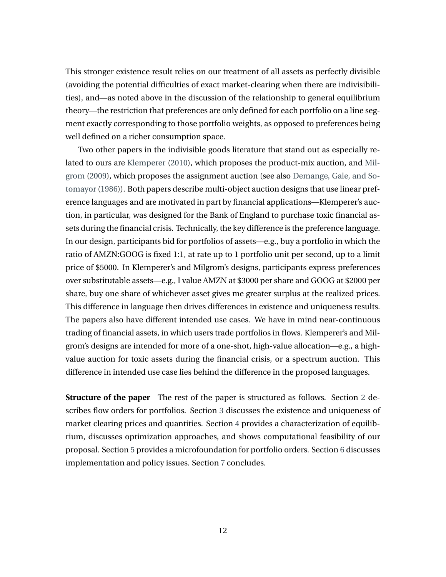This stronger existence result relies on our treatment of all assets as perfectly divisible (avoiding the potential difficulties of exact market-clearing when there are indivisibilities), and—as noted above in the discussion of the relationship to general equilibrium theory—the restriction that preferences are only defined for each portfolio on a line segment exactly corresponding to those portfolio weights, as opposed to preferences being well defined on a richer consumption space.

Two other papers in the indivisible goods literature that stand out as especially related to ours are [Klemperer](#page-48-3) [\(2010\)](#page-48-3), which proposes the product-mix auction, and [Mil](#page-49-0)[grom](#page-49-0) [\(2009\)](#page-49-0), which proposes the assignment auction (see also [Demange, Gale, and So](#page-47-8)[tomayor](#page-47-8) [\(1986\)](#page-47-8)). Both papers describe multi-object auction designs that use linear preference languages and are motivated in part by financial applications—Klemperer's auction, in particular, was designed for the Bank of England to purchase toxic financial assets during the financial crisis. Technically, the key difference is the preference language. In our design, participants bid for portfolios of assets—e.g., buy a portfolio in which the ratio of AMZN:GOOG is fixed 1:1, at rate up to 1 portfolio unit per second, up to a limit price of \$5000. In Klemperer's and Milgrom's designs, participants express preferences over substitutable assets—e.g., I value AMZN at \$3000 per share and GOOG at \$2000 per share, buy one share of whichever asset gives me greater surplus at the realized prices. This difference in language then drives differences in existence and uniqueness results. The papers also have different intended use cases. We have in mind near-continuous trading of financial assets, in which users trade portfolios in flows. Klemperer's and Milgrom's designs are intended for more of a one-shot, high-value allocation—e.g., a highvalue auction for toxic assets during the financial crisis, or a spectrum auction. This difference in intended use case lies behind the difference in the proposed languages.

**Structure of the paper** The rest of the paper is structured as follows. Section [2](#page-14-0) describes flow orders for portfolios. Section [3](#page-20-0) discusses the existence and uniqueness of market clearing prices and quantities. Section [4](#page-26-0) provides a characterization of equilibrium, discusses optimization approaches, and shows computational feasibility of our proposal. Section [5](#page-36-0) provides a microfoundation for portfolio orders. Section [6](#page-41-0) discusses implementation and policy issues. Section [7](#page-44-0) concludes.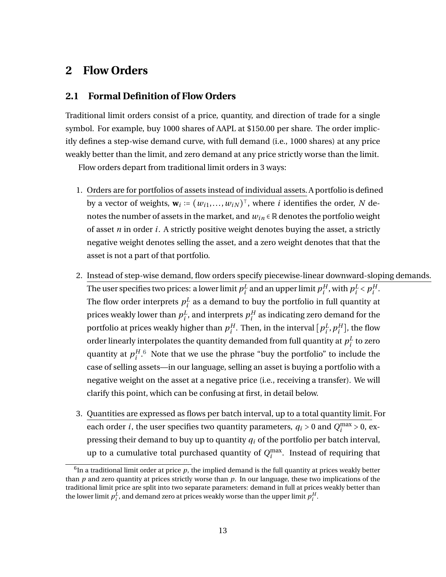## <span id="page-14-0"></span>**2 Flow Orders**

#### **2.1 Formal Definition of Flow Orders**

Traditional limit orders consist of a price, quantity, and direction of trade for a single symbol. For example, buy 1000 shares of AAPL at \$150.00 per share. The order implicitly defines a step-wise demand curve, with full demand (i.e., 1000 shares) at any price weakly better than the limit, and zero demand at any price strictly worse than the limit.

Flow orders depart from traditional limit orders in 3 ways:

- 1. Orders are for portfolios of assets instead of individual assets. A portfolio is defined by a vector of weights,  $\mathbf{w}_i \coloneqq (w_{i1},...,w_{iN})^\top$ , where *i* identifies the order, *N* denotes the number of assets in the market, and  $w_{in} \in \mathbb{R}$  denotes the portfolio weight of asset *n* in order *i*. A strictly positive weight denotes buying the asset, a strictly negative weight denotes selling the asset, and a zero weight denotes that that the asset is not a part of that portfolio.
- 2. Instead of step-wise demand, flow orders specify piecewise-linear downward-sloping demands. The user specifies two prices: a lower limit  $p_i^L$  $\frac{L}{i}$  and an upper limit  $p_i^H$  $i^H$ , with  $p_i^L$  $\frac{L}{i}$  <  $p_i^H$ *i* . The flow order interprets  $p_i^L$  $\frac{L}{i}$  as a demand to buy the portfolio in full quantity at prices weakly lower than  $p_i^L$  $i^L$ , and interprets  $p_i^H$  $i<sup>H</sup>$  as indicating zero demand for the portfolio at prices weakly higher than  $p_i^H$  $i^H$ . Then, in the interval  $[p_i^L]$  $i^L$ ,  $p_i^H$  $_{i}^{H}$ ], the flow order linearly interpolates the quantity demanded from full quantity at  $p_i^L$  $i<sup>L</sup>$  to zero quantity at *p H*  $i^{H}$ <sup>[6](#page-14-1)</sup>. Note that we use the phrase "buy the portfolio" to include the case of selling assets—in our language, selling an asset is buying a portfolio with a negative weight on the asset at a negative price (i.e., receiving a transfer). We will clarify this point, which can be confusing at first, in detail below.
- 3. Quantities are expressed as flows per batch interval, up to a total quantity limit. For each order *i*, the user specifies two quantity parameters,  $q_i > 0$  and  $Q_i^{\text{max}} > 0$ , expressing their demand to buy up to quantity *q<sup>i</sup>* of the portfolio per batch interval, up to a cumulative total purchased quantity of  $Q_i^{\max}$ . Instead of requiring that

<span id="page-14-1"></span> $^6$ In a traditional limit order at price  $\emph{p}$ , the implied demand is the full quantity at prices weakly better than *p* and zero quantity at prices strictly worse than *p*. In our language, these two implications of the traditional limit price are split into two separate parameters: demand in full at prices weakly better than the lower limit  $p_i^L$ , and demand zero at prices weakly worse than the upper limit  $p_i^H$ .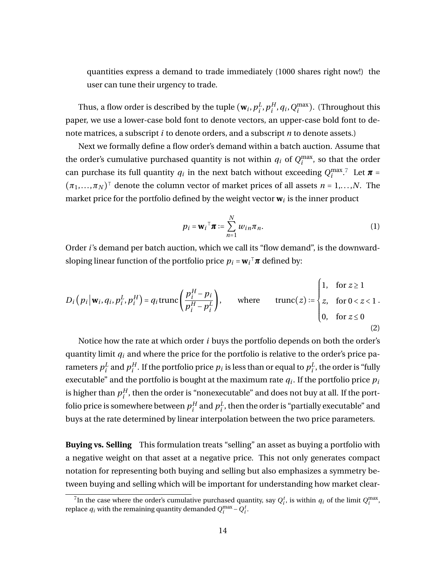quantities express a demand to trade immediately (1000 shares right now!) the user can tune their urgency to trade.

Thus, a flow order is described by the tuple  $(\mathbf{w}_i, p_i^L)$  $_i^L, p_i^H$  $_{i}^{H}$ ,  $q_i$ ,  $Q_i^{\max}$ ). (Throughout this paper, we use a lower-case bold font to denote vectors, an upper-case bold font to denote matrices, a subscript *i* to denote orders, and a subscript *n* to denote assets.)

Next we formally define a flow order's demand within a batch auction. Assume that the order's cumulative purchased quantity is not within  $q_i$  of  $Q_i^{\max}$ , so that the order can purchase its full quantity  $q_i$  in the next batch without exceeding  $Q_i^{\max,7}$  $Q_i^{\max,7}$  $Q_i^{\max,7}$  Let  $\pi$  =  $(\pi_1, ..., \pi_N)$ <sup>T</sup> denote the column vector of market prices of all assets  $n = 1,...,N$ . The market price for the portfolio defined by the weight vector  $\mathbf{w}_i$  is the inner product

$$
p_i = \mathbf{w}_i^\top \boldsymbol{\pi} := \sum_{n=1}^N w_{in} \pi_n.
$$
 (1)

Order *i*'s demand per batch auction, which we call its "flow demand", is the downwardsloping linear function of the portfolio price  $p_i = \mathbf{w}_i^\top \boldsymbol{\pi}$  defined by:

<span id="page-15-1"></span>
$$
D_i\left(p_i \middle| \mathbf{w}_i, q_i, p_i^L, p_i^H\right) = q_i \text{trunc}\left(\frac{p_i^H - p_i}{p_i^H - p_i^L}\right), \quad \text{where} \quad \text{trunc}(z) \coloneqq \begin{cases} 1, & \text{for } z \ge 1 \\ z, & \text{for } 0 < z < 1 \\ 0, & \text{for } z \le 0 \end{cases} \tag{2}
$$

Notice how the rate at which order *i* buys the portfolio depends on both the order's quantity limit *q<sup>i</sup>* and where the price for the portfolio is relative to the order's price parameters  $p^L_i$  $\frac{L}{i}$  and  $p_i^H$  $i^H_i$ . If the portfolio price  $p_i$  is less than or equal to  $p_i^L$  $\frac{L}{i}$ , the order is "fully executable" and the portfolio is bought at the maximum rate  $q_i.$  If the portfolio price  $p_i$ is higher than  $p_i^H$  $i<sub>i</sub><sup>H</sup>$ , then the order is "nonexecutable" and does not buy at all. If the portfolio price is somewhere between  $p_i^H$  $i^H$  and  $p_i^L$  $i<sub>i</sub>$ , then the order is "partially executable" and buys at the rate determined by linear interpolation between the two price parameters.

**Buying vs. Selling** This formulation treats "selling" an asset as buying a portfolio with a negative weight on that asset at a negative price. This not only generates compact notation for representing both buying and selling but also emphasizes a symmetry between buying and selling which will be important for understanding how market clear-

<span id="page-15-0"></span><sup>&</sup>lt;sup>7</sup>In the case where the order's cumulative purchased quantity, say  $Q_i^t$ , is within  $q_i$  of the limit  $Q_i^{\text{max}}$ , replace  $q_i$  with the remaining quantity demanded  $Q_i^{\max} - Q_i^t$ .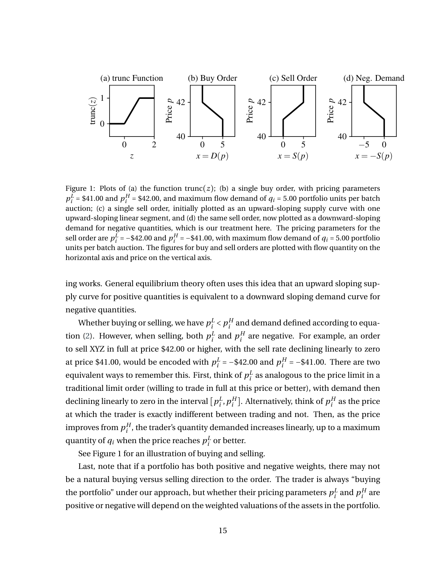

Figure 1: Plots of (a) the function trunc( $z$ ); (b) a single buy order, with pricing parameters  $p_i^L$  = \$41.00 and  $p_i^H$  = \$42.00, and maximum flow demand of  $q_i$  = 5.00 portfolio units per batch auction; (c) a single sell order, initially plotted as an upward-sloping supply curve with one upward-sloping linear segment, and (d) the same sell order, now plotted as a downward-sloping demand for negative quantities, which is our treatment here. The pricing parameters for the sell order are  $p_i^L$  = −\$42.00 and  $p_i^H$  = −\$41.00, with maximum flow demand of  $q_i$  = 5.00 portfolio units per batch auction. The figures for buy and sell orders are plotted with flow quantity on the horizontal axis and price on the vertical axis.

ing works. General equilibrium theory often uses this idea that an upward sloping supply curve for positive quantities is equivalent to a downward sloping demand curve for negative quantities.

Whether buying or selling, we have  $p_i^L$  $i< p_i^H$  $I_i^H$  and demand defined according to equa-tion [\(2\)](#page-15-1). However, when selling, both  $p_i^L$  $\frac{L}{i}$  and  $p_i^H$  $i<sup>H</sup>$  are negative. For example, an order to sell XYZ in full at price \$42.00 or higher, with the sell rate declining linearly to zero at price \$41.00, would be encoded with  $p_i^L$  $i^L_i$  = -\$42.00 and  $p_i^H$  $i^H_i = -\$41.00$ . There are two equivalent ways to remember this. First, think of  $p_i^L$  $\frac{L}{i}$  as analogous to the price limit in a traditional limit order (willing to trade in full at this price or better), with demand then declining linearly to zero in the interval  $\left[p_i^L\right]$  $_i^L$ ,  $p_i^H$  $_{i}^{H}$ ]. Alternatively, think of  $p_{i}^{H}$  $i<sup>H</sup>$  as the price at which the trader is exactly indifferent between trading and not. Then, as the price improves from  $p_i^H$  $i<sub>i</sub><sup>H</sup>$ , the trader's quantity demanded increases linearly, up to a maximum quantity of  $q_i$  when the price reaches  $p_i^L$  $\frac{L}{i}$  or better.

See Figure 1 for an illustration of buying and selling.

Last, note that if a portfolio has both positive and negative weights, there may not be a natural buying versus selling direction to the order. The trader is always "buying the portfolio" under our approach, but whether their pricing parameters  $p^L_i$  $\frac{L}{i}$  and  $p_i^H$  $i^H$  are positive or negative will depend on the weighted valuations of the assets in the portfolio.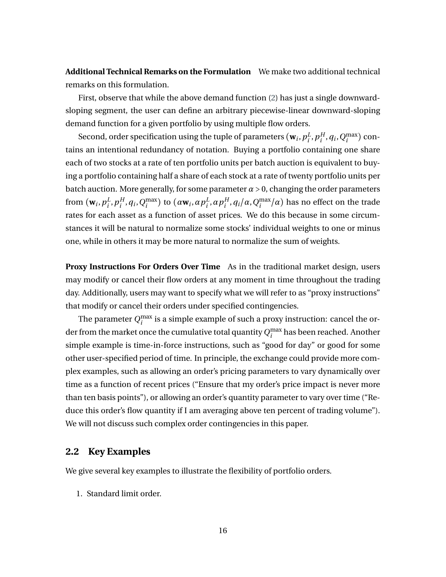**Additional Technical Remarks on the Formulation** We make two additional technical remarks on this formulation.

First, observe that while the above demand function [\(2\)](#page-15-1) has just a single downwardsloping segment, the user can define an arbitrary piecewise-linear downward-sloping demand function for a given portfolio by using multiple flow orders.

Second, order specification using the tuple of parameters  $(\mathbf{w}_i, p_i^L)$  $_i^L, p_i^H$  $_{i}^{H}$ ,  $q_i$ ,  $Q_i^{\max}$ ) contains an intentional redundancy of notation. Buying a portfolio containing one share each of two stocks at a rate of ten portfolio units per batch auction is equivalent to buying a portfolio containing half a share of each stock at a rate of twenty portfolio units per batch auction. More generally, for some parameter  $\alpha > 0$ , changing the order parameters from  $(\mathbf{w}_i, p_i^L)$  $_i^L$ ,  $p_i^H$  $\binom{H}{i}$ ,  $q_i$ ,  $Q_i^{\max}$ ) to  $(\alpha \mathbf{w}_i, \alpha p_i^L)$ *i* ,*αp H <sup>H</sup>*, *q*<sub>*i*</sub></sub>/*α*, *Q*<sup>max</sup>/*α*) has no effect on the trade rates for each asset as a function of asset prices. We do this because in some circumstances it will be natural to normalize some stocks' individual weights to one or minus one, while in others it may be more natural to normalize the sum of weights.

**Proxy Instructions For Orders Over Time** As in the traditional market design, users may modify or cancel their flow orders at any moment in time throughout the trading day. Additionally, users may want to specify what we will refer to as "proxy instructions" that modify or cancel their orders under specified contingencies.

The parameter  $Q_i^{\text{max}}$  is a simple example of such a proxy instruction: cancel the order from the market once the cumulative total quantity  $Q_i^{\max}$  has been reached. Another simple example is time-in-force instructions, such as "good for day" or good for some other user-specified period of time. In principle, the exchange could provide more complex examples, such as allowing an order's pricing parameters to vary dynamically over time as a function of recent prices ("Ensure that my order's price impact is never more than ten basis points"), or allowing an order's quantity parameter to vary over time ("Reduce this order's flow quantity if I am averaging above ten percent of trading volume"). We will not discuss such complex order contingencies in this paper.

#### **2.2 Key Examples**

We give several key examples to illustrate the flexibility of portfolio orders.

1. Standard limit order.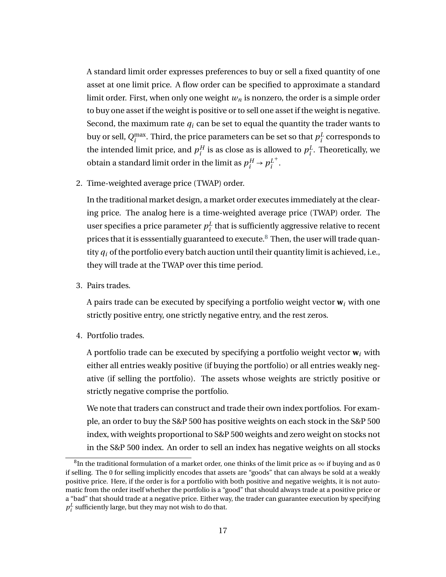A standard limit order expresses preferences to buy or sell a fixed quantity of one asset at one limit price. A flow order can be specified to approximate a standard limit order. First, when only one weight *w<sup>n</sup>* is nonzero, the order is a simple order to buy one asset if the weight is positive or to sell one asset if the weight is negative. Second, the maximum rate  $q_i$  can be set to equal the quantity the trader wants to buy or sell,  $Q_{i}^{\max}$ . Third, the price parameters can be set so that  $p_{i}^{L}$  $\frac{L}{i}$  corresponds to the intended limit price, and  $p_i^H$  $i^H_i$  is as close as is allowed to  $p_i^L$  $i<sup>L</sup>$ . Theoretically, we obtain a standard limit order in the limit as  $p_i^H \rightarrow p_i^L$ *i* + .

2. Time-weighted average price (TWAP) order.

In the traditional market design, a market order executes immediately at the clearing price. The analog here is a time-weighted average price (TWAP) order. The user specifies a price parameter *p L*  $\frac{L}{i}$  that is sufficiently aggressive relative to recent prices that it is esssentially guaranteed to execute.<sup>[8](#page-18-0)</sup> Then, the user will trade quantity  $q_i$  of the portfolio every batch auction until their quantity limit is achieved, i.e., they will trade at the TWAP over this time period.

3. Pairs trades.

A pairs trade can be executed by specifying a portfolio weight vector **w***<sup>i</sup>* with one strictly positive entry, one strictly negative entry, and the rest zeros.

4. Portfolio trades.

A portfolio trade can be executed by specifying a portfolio weight vector **w***<sup>i</sup>* with either all entries weakly positive (if buying the portfolio) or all entries weakly negative (if selling the portfolio). The assets whose weights are strictly positive or strictly negative comprise the portfolio.

We note that traders can construct and trade their own index portfolios. For example, an order to buy the S&P 500 has positive weights on each stock in the S&P 500 index, with weights proportional to S&P 500 weights and zero weight on stocks not in the S&P 500 index. An order to sell an index has negative weights on all stocks

<span id="page-18-0"></span> $^8$ In the traditional formulation of a market order, one thinks of the limit price as  $\infty$  if buying and as 0 if selling. The 0 for selling implicitly encodes that assets are "goods" that can always be sold at a weakly positive price. Here, if the order is for a portfolio with both positive and negative weights, it is not automatic from the order itself whether the portfolio is a "good" that should always trade at a positive price or a "bad" that should trade at a negative price. Either way, the trader can guarantee execution by specifying  $p_i^L$  sufficiently large, but they may not wish to do that.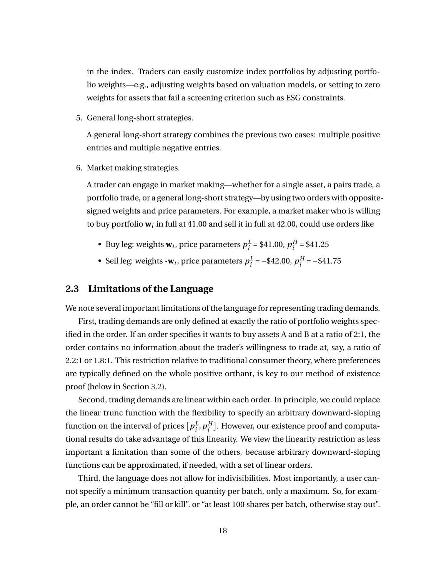in the index. Traders can easily customize index portfolios by adjusting portfolio weights—e.g., adjusting weights based on valuation models, or setting to zero weights for assets that fail a screening criterion such as ESG constraints.

5. General long-short strategies.

A general long-short strategy combines the previous two cases: multiple positive entries and multiple negative entries.

6. Market making strategies.

A trader can engage in market making—whether for a single asset, a pairs trade, a portfolio trade, or a general long-short strategy—by using two orders with oppositesigned weights and price parameters. For example, a market maker who is willing to buy portfolio **w***<sup>i</sup>* in full at 41.00 and sell it in full at 42.00, could use orders like

- Buy leg: weights  $w_i$ , price parameters  $p_i^L$  $i^L_i = $41.00, p_i^H$  $_i^H = $41.25$
- Sell leg: weights - $w_i$ , price parameters  $p_i^L$  $i^L_i = -\$42.00, p_i^H$  $_i^H = -\$41.75$

#### **2.3 Limitations of the Language**

We note several important limitations of the language for representing trading demands.

First, trading demands are only defined at exactly the ratio of portfolio weights specified in the order. If an order specifies it wants to buy assets A and B at a ratio of 2:1, the order contains no information about the trader's willingness to trade at, say, a ratio of 2.2:1 or 1.8:1. This restriction relative to traditional consumer theory, where preferences are typically defined on the whole positive orthant, is key to our method of existence proof (below in Section [3.2\)](#page-21-0).

Second, trading demands are linear within each order. In principle, we could replace the linear trunc function with the flexibility to specify an arbitrary downward-sloping function on the interval of prices  $\left[p_i^L\right]$  $_i^L, p_i^H$  $_{i}^{H}$ ]. However, our existence proof and computational results do take advantage of this linearity. We view the linearity restriction as less important a limitation than some of the others, because arbitrary downward-sloping functions can be approximated, if needed, with a set of linear orders.

Third, the language does not allow for indivisibilities. Most importantly, a user cannot specify a minimum transaction quantity per batch, only a maximum. So, for example, an order cannot be "fill or kill", or "at least 100 shares per batch, otherwise stay out".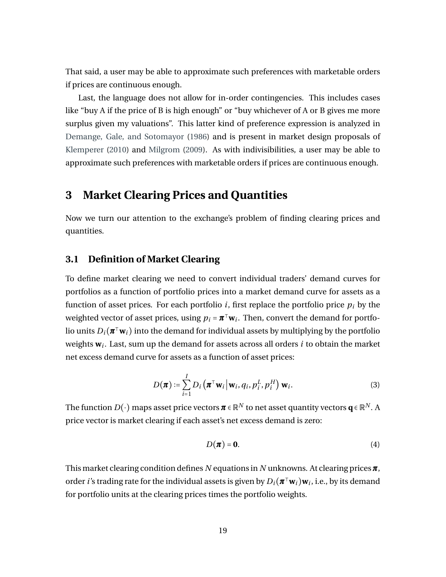That said, a user may be able to approximate such preferences with marketable orders if prices are continuous enough.

Last, the language does not allow for in-order contingencies. This includes cases like "buy A if the price of B is high enough" or "buy whichever of A or B gives me more surplus given my valuations". This latter kind of preference expression is analyzed in [Demange, Gale, and Sotomayor](#page-47-8) [\(1986\)](#page-47-8) and is present in market design proposals of [Klemperer](#page-48-3) [\(2010\)](#page-48-3) and [Milgrom](#page-49-0) [\(2009\)](#page-49-0). As with indivisibilities, a user may be able to approximate such preferences with marketable orders if prices are continuous enough.

## <span id="page-20-0"></span>**3 Market Clearing Prices and Quantities**

Now we turn our attention to the exchange's problem of finding clearing prices and quantities.

#### **3.1 Definition of Market Clearing**

To define market clearing we need to convert individual traders' demand curves for portfolios as a function of portfolio prices into a market demand curve for assets as a function of asset prices. For each portfolio *i*, first replace the portfolio price  $p_i$  by the weighted vector of asset prices, using  $p_i = \pi^\top \mathbf{w}_i$ . Then, convert the demand for portfolio units  $D_i(\pmb{\pi}^\intercal\mathbf{w}_i)$  into the demand for individual assets by multiplying by the portfolio weights **w***<sup>i</sup>* . Last, sum up the demand for assets across all orders *i* to obtain the market net excess demand curve for assets as a function of asset prices:

$$
D(\boldsymbol{\pi}) \coloneqq \sum_{i=1}^{I} D_i(\boldsymbol{\pi}^\top \mathbf{w}_i \big| \mathbf{w}_i, q_i, p_i^L, p_i^H) \mathbf{w}_i.
$$
 (3)

The function  $D(\cdot)$  maps asset price vectors  $\pmb{\pi}\in\mathbb{R}^N$  to net asset quantity vectors  $\pmb{q}\in\mathbb{R}^N.$  A price vector is market clearing if each asset's net excess demand is zero:

$$
D(\boldsymbol{\pi}) = \mathbf{0}.\tag{4}
$$

This market clearing condition defines *N* equations in *N* unknowns. At clearing prices*π*, order *i*'s trading rate for the individual assets is given by  $D_i(\bm{\pi}^\top \mathbf{w}_i) \mathbf{w}_i$ , i.e., by its demand for portfolio units at the clearing prices times the portfolio weights.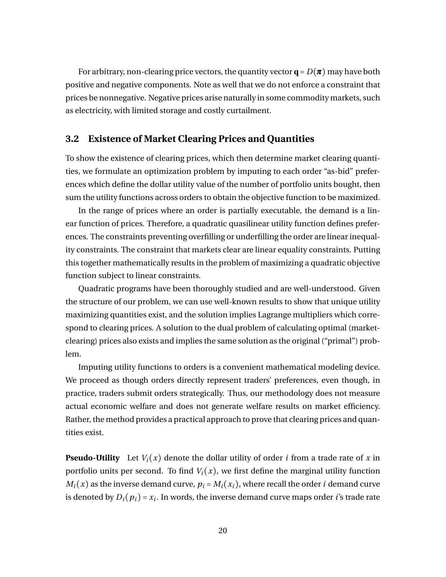For arbitrary, non-clearing price vectors, the quantity vector  $\mathbf{q} = D(\pi)$  may have both positive and negative components. Note as well that we do not enforce a constraint that prices be nonnegative. Negative prices arise naturally in some commodity markets, such as electricity, with limited storage and costly curtailment.

#### <span id="page-21-0"></span>**3.2 Existence of Market Clearing Prices and Quantities**

To show the existence of clearing prices, which then determine market clearing quantities, we formulate an optimization problem by imputing to each order "as-bid" preferences which define the dollar utility value of the number of portfolio units bought, then sum the utility functions across orders to obtain the objective function to be maximized.

In the range of prices where an order is partially executable, the demand is a linear function of prices. Therefore, a quadratic quasilinear utility function defines preferences. The constraints preventing overfilling or underfilling the order are linear inequality constraints. The constraint that markets clear are linear equality constraints. Putting this together mathematically results in the problem of maximizing a quadratic objective function subject to linear constraints.

Quadratic programs have been thoroughly studied and are well-understood. Given the structure of our problem, we can use well-known results to show that unique utility maximizing quantities exist, and the solution implies Lagrange multipliers which correspond to clearing prices. A solution to the dual problem of calculating optimal (marketclearing) prices also exists and implies the same solution as the original ("primal") problem.

Imputing utility functions to orders is a convenient mathematical modeling device. We proceed as though orders directly represent traders' preferences, even though, in practice, traders submit orders strategically. Thus, our methodology does not measure actual economic welfare and does not generate welfare results on market efficiency. Rather, the method provides a practical approach to prove that clearing prices and quantities exist.

**Pseudo-Utility** Let  $V_i(x)$  denote the dollar utility of order *i* from a trade rate of *x* in portfolio units per second. To find  $V_i(x)$ , we first define the marginal utility function  $M_i(x)$  as the inverse demand curve,  $p_i = M_i(x_i)$ , where recall the order *i* demand curve is denoted by  $D_i(p_i)$  =  $x_i$ . In words, the inverse demand curve maps order *i'*s trade rate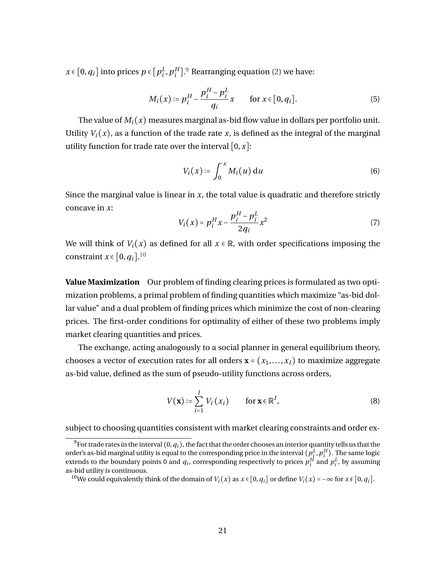$x \in [0, q_i]$  into prices  $p \in [p_i^L]$  $_i^L$ ,  $p_i^H$  $_{i}^{H}$ ].<sup>[9](#page-22-0)</sup> Rearranging equation [\(2\)](#page-15-1) we have:

$$
M_i(x) \coloneqq p_i^H - \frac{p_i^H - p_i^L}{q_i} x \qquad \text{for } x \in [0, q_i]. \tag{5}
$$

The value of  $M_i(x)$  measures marginal as-bid flow value in dollars per portfolio unit. Utility  $V_i(x)$ , as a function of the trade rate x, is defined as the integral of the marginal utility function for trade rate over the interval  $[0, x]$ :

$$
V_i(x) \coloneqq \int_0^x M_i(u) \, \mathrm{d}u \tag{6}
$$

Since the marginal value is linear in *x*, the total value is quadratic and therefore strictly concave in *x*:

$$
V_i(x) = p_i^H x - \frac{p_i^H - p_i^L}{2q_i} x^2
$$
 (7)

We will think of  $V_i(x)$  as defined for all  $x \in \mathbb{R}$ , with order specifications imposing the constraint  $x \in [0, q_i]$ .<sup>[10](#page-22-1)</sup>

**Value Maximization** Our problem of finding clearing prices is formulated as two optimization problems, a primal problem of finding quantities which maximize "as-bid dollar value" and a dual problem of finding prices which minimize the cost of non-clearing prices. The first-order conditions for optimality of either of these two problems imply market clearing quantities and prices.

The exchange, acting analogously to a social planner in general equilibrium theory, chooses a vector of execution rates for all orders  $\mathbf{x} = (x_1, \ldots, x_I)$  to maximize aggregate as-bid value, defined as the sum of pseudo-utility functions across orders,

$$
V(\mathbf{x}) \coloneqq \sum_{i=1}^{I} V_i(x_i) \quad \text{for } \mathbf{x} \in \mathbb{R}^I,
$$
 (8)

subject to choosing quantities consistent with market clearing constraints and order ex-

<span id="page-22-0"></span><sup>&</sup>lt;sup>9</sup>For trade rates in the interval  $(0, q_i)$ , the fact that the order chooses an interior quantity tells us that the order's as-bid marginal utility is equal to the corresponding price in the interval  $(p^L_i, p^H_i)$ . The same logic extends to the boundary points 0 and  $q_i$ , corresponding respectively to prices  $p_i^H$  and  $p_i^L$ , by assuming as-bid utility is continuous.

<span id="page-22-1"></span><sup>&</sup>lt;sup>10</sup>We could equivalently think of the domain of *V*<sub>*i*</sub>(*x*) as  $x \in [0, q_i]$  or define  $V_i(x) = -\infty$  for  $x \notin [0, q_i]$ .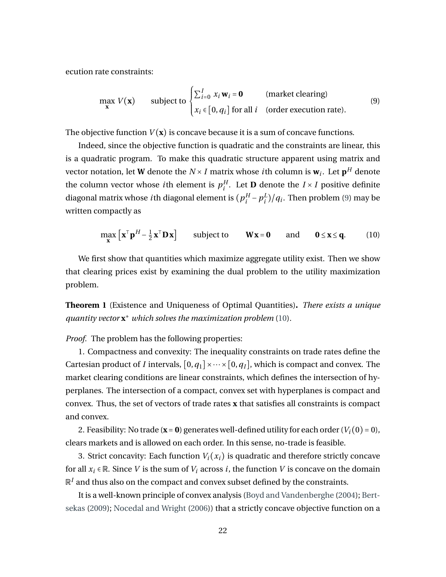ecution rate constraints:

<span id="page-23-0"></span>
$$
\max_{\mathbf{x}} V(\mathbf{x}) \qquad \text{subject to } \begin{cases} \sum_{i=0}^{I} x_i \mathbf{w}_i = \mathbf{0} & \text{(market clearing)}\\ x_i \in [0, q_i] \text{ for all } i & \text{(order execution rate)}. \end{cases} \tag{9}
$$

The objective function  $V(x)$  is concave because it is a sum of concave functions.

Indeed, since the objective function is quadratic and the constraints are linear, this is a quadratic program. To make this quadratic structure apparent using matrix and vector notation, let **W** denote the  $N \times I$  matrix whose  $i$ th column is  $\mathbf{w}_i$ . Let  $\mathbf{p}^H$  denote the column vector whose *i*th element is  $p_i^H$  $i^H_i$ . Let **D** denote the *I* × *I* positive definite diagonal matrix whose *i* th diagonal element is (  $p_i^H$  $\frac{H}{i} - p_i^L$  $\binom{L}{i}/q_i$ . Then problem [\(9\)](#page-23-0) may be written compactly as

<span id="page-23-1"></span>
$$
\max_{\mathbf{x}} \left[ \mathbf{x}^{\top} \mathbf{p}^H - \frac{1}{2} \mathbf{x}^{\top} \mathbf{D} \mathbf{x} \right] \quad \text{subject to} \quad \mathbf{W} \mathbf{x} = \mathbf{0} \quad \text{and} \quad \mathbf{0} \le \mathbf{x} \le \mathbf{q}. \quad (10)
$$

We first show that quantities which maximize aggregate utility exist. Then we show that clearing prices exist by examining the dual problem to the utility maximization problem.

<span id="page-23-2"></span>**Theorem 1** (Existence and Uniqueness of Optimal Quantities)**.** *There exists a unique quantity vector* **x** <sup>∗</sup> *which solves the maximization problem* [\(10\)](#page-23-1)*.*

*Proof.* The problem has the following properties:

1. Compactness and convexity: The inequality constraints on trade rates define the Cartesian product of *I* intervals,  $[0, q_1] \times \cdots \times [0, q_I]$ , which is compact and convex. The market clearing conditions are linear constraints, which defines the intersection of hyperplanes. The intersection of a compact, convex set with hyperplanes is compact and convex. Thus, the set of vectors of trade rates **x** that satisfies all constraints is compact and convex.

2. Feasibility: No trade ( $\mathbf{x} = \mathbf{0}$ ) generates well-defined utility for each order ( $V_i(0) = 0$ ), clears markets and is allowed on each order. In this sense, no-trade is feasible.

3. Strict concavity: Each function  $V_i(x_i)$  is quadratic and therefore strictly concave for all  $x_i \in \mathbb{R}$ . Since *V* is the sum of  $V_i$  across *i*, the function *V* is concave on the domain  $\mathbb{R}^I$  and thus also on the compact and convex subset defined by the constraints.

It is a well-known principle of convex analysis [\(Boyd and Vandenberghe](#page-46-9) [\(2004\)](#page-46-9); [Bert](#page-46-10)[sekas](#page-46-10) [\(2009\)](#page-46-10); [Nocedal and Wright](#page-49-9) [\(2006\)](#page-49-9)) that a strictly concave objective function on a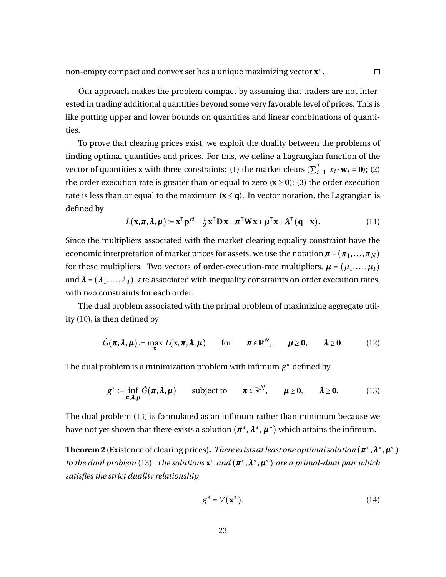Our approach makes the problem compact by assuming that traders are not interested in trading additional quantities beyond some very favorable level of prices. This is like putting upper and lower bounds on quantities and linear combinations of quantities.

To prove that clearing prices exist, we exploit the duality between the problems of finding optimal quantities and prices. For this, we define a Lagrangian function of the vector of quantities **x** with three constraints: (1) the market clears ( $\sum_{i=1}^{I} x_i \cdot \mathbf{w}_i = \mathbf{0}$ ); (2) the order execution rate is greater than or equal to zero  $(\mathbf{x} \geq \mathbf{0})$ ; (3) the order execution rate is less than or equal to the maximum  $(x \le q)$ . In vector notation, the Lagrangian is defined by

$$
L(\mathbf{x}, \boldsymbol{\pi}, \boldsymbol{\lambda}, \boldsymbol{\mu}) \coloneqq \mathbf{x}^{\top} \mathbf{p}^H - \frac{1}{2} \mathbf{x}^{\top} \mathbf{D} \mathbf{x} - \boldsymbol{\pi}^{\top} \mathbf{W} \mathbf{x} + \boldsymbol{\mu}^{\top} \mathbf{x} + \boldsymbol{\lambda}^{\top} (\mathbf{q} - \mathbf{x}). \tag{11}
$$

Since the multipliers associated with the market clearing equality constraint have the economic interpretation of market prices for assets, we use the notation  $\boldsymbol{\pi} = (\pi_1, \dots, \pi_N)$ for these multipliers. Two vectors of order-execution-rate multipliers,  $\boldsymbol{\mu} = (\mu_1, ..., \mu_I)$ and  $\lambda = (\lambda_1, \ldots, \lambda_I)$ , are associated with inequality constraints on order execution rates, with two constraints for each order.

The dual problem associated with the primal problem of maximizing aggregate utility [\(10\)](#page-23-1), is then defined by

<span id="page-24-2"></span>
$$
\hat{G}(\pi,\lambda,\mu) := \max_{\mathbf{x}} L(\mathbf{x},\pi,\lambda,\mu) \quad \text{for} \quad \pi \in \mathbb{R}^N, \quad \mu \geq 0, \quad \lambda \geq 0. \quad (12)
$$

The dual problem is a minimization problem with infimum *g* <sup>∗</sup> defined by

<span id="page-24-0"></span>
$$
g^* := \inf_{\pi, \lambda, \mu} \hat{G}(\pi, \lambda, \mu) \qquad \text{subject to} \qquad \pi \in \mathbb{R}^N, \qquad \mu \geq 0, \qquad \lambda \geq 0. \tag{13}
$$

The dual problem [\(13\)](#page-24-0) is formulated as an infimum rather than minimum because we have not yet shown that there exists a solution  $(\pmb{\pi}^*,\pmb{\lambda}^*,\pmb{\mu}^*)$  which attains the infimum.

<span id="page-24-1"></span>**Theorem 2** (Existence of clearing prices)**.** *There exists at least one optimal solution* (*π* <sup>∗</sup>,*λ* <sup>∗</sup>,*µ* ∗) *to the dual problem* [\(13\)](#page-24-0). The solutions  $\mathbf{x}^*$  and  $(\pi^*, \lambda^*, \mu^*)$  are a primal-dual pair which *satisfies the strict duality relationship*

$$
g^* = V(\mathbf{x}^*). \tag{14}
$$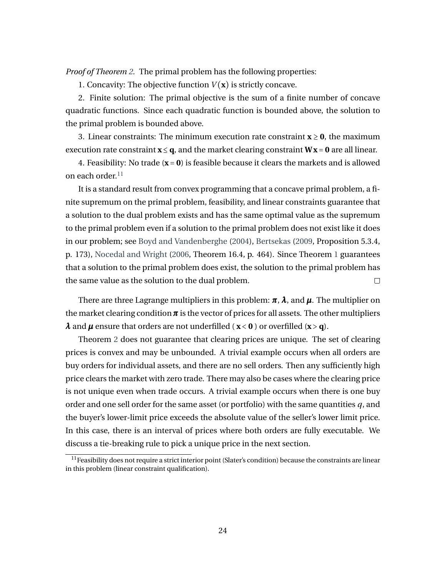*Proof of Theorem [2.](#page-24-1)* The primal problem has the following properties:

1. Concavity: The objective function  $V(\mathbf{x})$  is strictly concave.

2. Finite solution: The primal objective is the sum of a finite number of concave quadratic functions. Since each quadratic function is bounded above, the solution to the primal problem is bounded above.

3. Linear constraints: The minimum execution rate constraint  $\mathbf{x} \geq \mathbf{0}$ , the maximum execution rate constraint  $\mathbf{x} \leq \mathbf{q}$ , and the market clearing constraint  $\mathbf{W}\mathbf{x} = \mathbf{0}$  are all linear.

4. Feasibility: No trade  $(x = 0)$  is feasible because it clears the markets and is allowed on each order.[11](#page-25-0)

It is a standard result from convex programming that a concave primal problem, a finite supremum on the primal problem, feasibility, and linear constraints guarantee that a solution to the dual problem exists and has the same optimal value as the supremum to the primal problem even if a solution to the primal problem does not exist like it does in our problem; see [Boyd and Vandenberghe](#page-46-9) [\(2004\)](#page-46-9), [Bertsekas](#page-46-10) [\(2009,](#page-46-10) Proposition 5.3.4, p. 173), [Nocedal and Wright](#page-49-9) [\(2006,](#page-49-9) Theorem 16.4, p. 464). Since Theorem [1](#page-23-2) guarantees that a solution to the primal problem does exist, the solution to the primal problem has the same value as the solution to the dual problem.  $\Box$ 

There are three Lagrange multipliers in this problem: *π*, *λ*, and *µ*. The multiplier on the market clearing condition  $\pi$  is the vector of prices for all assets. The other multipliers  $\lambda$  and  $\mu$  ensure that orders are not underfilled ( $\mathbf{x} < 0$ ) or overfilled ( $\mathbf{x} > \mathbf{q}$ ).

Theorem [2](#page-24-1) does not guarantee that clearing prices are unique. The set of clearing prices is convex and may be unbounded. A trivial example occurs when all orders are buy orders for individual assets, and there are no sell orders. Then any sufficiently high price clears the market with zero trade. There may also be cases where the clearing price is not unique even when trade occurs. A trivial example occurs when there is one buy order and one sell order for the same asset (or portfolio) with the same quantities *q*, and the buyer's lower-limit price exceeds the absolute value of the seller's lower limit price. In this case, there is an interval of prices where both orders are fully executable. We discuss a tie-breaking rule to pick a unique price in the next section.

<span id="page-25-0"></span> $11$  Feasibility does not require a strict interior point (Slater's condition) because the constraints are linear in this problem (linear constraint qualification).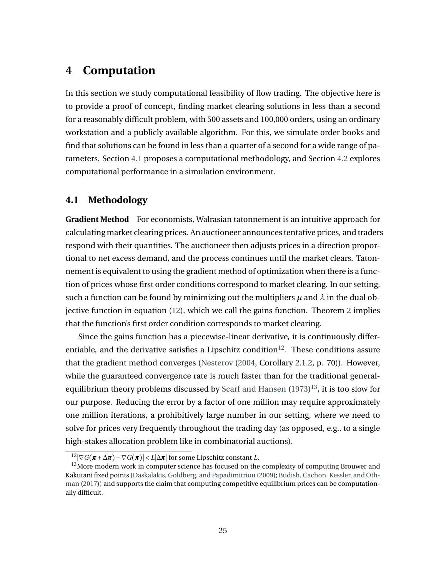## <span id="page-26-0"></span>**4 Computation**

In this section we study computational feasibility of flow trading. The objective here is to provide a proof of concept, finding market clearing solutions in less than a second for a reasonably difficult problem, with 500 assets and 100,000 orders, using an ordinary workstation and a publicly available algorithm. For this, we simulate order books and find that solutions can be found in less than a quarter of a second for a wide range of parameters. Section [4.1](#page-26-1) proposes a computational methodology, and Section [4.2](#page-30-0) explores computational performance in a simulation environment.

#### <span id="page-26-1"></span>**4.1 Methodology**

**Gradient Method** For economists, Walrasian tatonnement is an intuitive approach for calculating market clearing prices. An auctioneer announces tentative prices, and traders respond with their quantities. The auctioneer then adjusts prices in a direction proportional to net excess demand, and the process continues until the market clears. Tatonnement is equivalent to using the gradient method of optimization when there is a function of prices whose first order conditions correspond to market clearing. In our setting, such a function can be found by minimizing out the multipliers  $\mu$  and  $\lambda$  in the dual objective function in equation [\(12\)](#page-24-2), which we call the gains function. Theorem [2](#page-24-1) implies that the function's first order condition corresponds to market clearing.

Since the gains function has a piecewise-linear derivative, it is continuously differ-entiable, and the derivative satisfies a Lipschitz condition<sup>[12](#page-26-2)</sup>. These conditions assure that the gradient method converges [\(Nesterov](#page-49-10) [\(2004,](#page-49-10) Corollary 2.1.2, p. 70)). However, while the guaranteed convergence rate is much faster than for the traditional general-equilibrium theory problems discussed by [Scarf and Hansen](#page-50-1)  $(1973)^{13}$  $(1973)^{13}$  $(1973)^{13}$  $(1973)^{13}$ , it is too slow for our purpose. Reducing the error by a factor of one million may require approximately one million iterations, a prohibitively large number in our setting, where we need to solve for prices very frequently throughout the trading day (as opposed, e.g., to a single high-stakes allocation problem like in combinatorial auctions).

<span id="page-26-3"></span><span id="page-26-2"></span> $12|\nabla G(\pi + \Delta \pi) - \nabla G(\pi)| < L|\Delta \pi|$  for some Lipschitz constant *L*.

 $13$ More modern work in computer science has focused on the complexity of computing Brouwer and Kakutani fixed points [\(Daskalakis, Goldberg, and Papadimitriou](#page-47-5) [\(2009\)](#page-47-5); [Budish, Cachon, Kessler, and Oth](#page-46-3)[man](#page-46-3) [\(2017\)](#page-46-3)) and supports the claim that computing competitive equilibrium prices can be computationally difficult.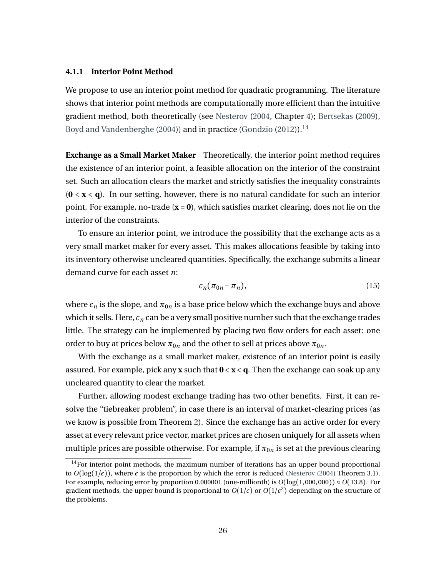#### **4.1.1 Interior Point Method**

We propose to use an interior point method for quadratic programming. The literature shows that interior point methods are computationally more efficient than the intuitive gradient method, both theoretically (see [Nesterov](#page-49-10) [\(2004,](#page-49-10) Chapter 4); [Bertsekas](#page-46-10) [\(2009\)](#page-46-10), [Boyd and Vandenberghe](#page-46-9) [\(2004\)](#page-46-9)) and in practice [\(Gondzio](#page-47-9) [\(2012\)](#page-47-9)).<sup>[14](#page-27-0)</sup>

**Exchange as a Small Market Maker** Theoretically, the interior point method requires the existence of an interior point, a feasible allocation on the interior of the constraint set. Such an allocation clears the market and strictly satisfies the inequality constraints (**0** < **x** < **q**). In our setting, however, there is no natural candidate for such an interior point. For example, no-trade (**x** = **0**), which satisfies market clearing, does not lie on the interior of the constraints.

To ensure an interior point, we introduce the possibility that the exchange acts as a very small market maker for every asset. This makes allocations feasible by taking into its inventory otherwise uncleared quantities. Specifically, the exchange submits a linear demand curve for each asset *n*:

<span id="page-27-1"></span>
$$
\epsilon_n(\pi_{0n} - \pi_n),\tag{15}
$$

where  $\epsilon_n$  is the slope, and  $\pi_{0n}$  is a base price below which the exchange buys and above which it sells. Here,  $\epsilon_n$  can be a very small positive number such that the exchange trades little. The strategy can be implemented by placing two flow orders for each asset: one order to buy at prices below  $\pi_{0n}$  and the other to sell at prices above  $\pi_{0n}$ .

With the exchange as a small market maker, existence of an interior point is easily assured. For example, pick any **x** such that **0** < **x** < **q**. Then the exchange can soak up any uncleared quantity to clear the market.

Further, allowing modest exchange trading has two other benefits. First, it can resolve the "tiebreaker problem", in case there is an interval of market-clearing prices (as we know is possible from Theorem [2\)](#page-24-1). Since the exchange has an active order for every asset at every relevant price vector, market prices are chosen uniquely for all assets when multiple prices are possible otherwise. For example, if  $\pi_{0n}$  is set at the previous clearing

<span id="page-27-0"></span><sup>&</sup>lt;sup>14</sup>For interior point methods, the maximum number of iterations has an upper bound proportional to  $O(log(1/\epsilon))$ , where  $\epsilon$  is the proportion by which the error is reduced [\(Nesterov](#page-49-10) [\(2004\)](#page-49-10) Theorem 3.1). For example, reducing error by proportion 0.000001 (one-millionth) is  $O(log(1,000,000)) \approx O(13.8)$ . For gradient methods, the upper bound is proportional to  $O(1/\epsilon)$  or  $O(1/\epsilon^2)$  depending on the structure of the problems.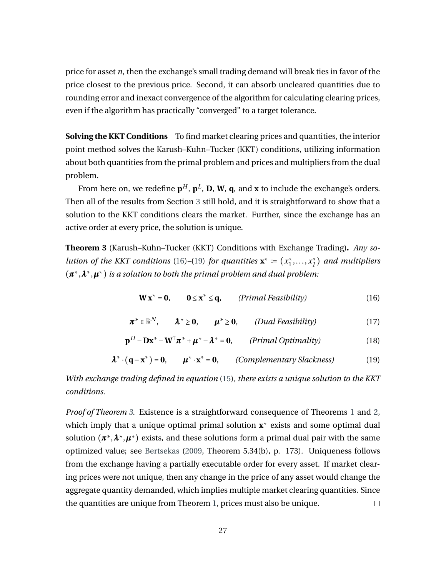price for asset *n*, then the exchange's small trading demand will break ties in favor of the price closest to the previous price. Second, it can absorb uncleared quantities due to rounding error and inexact convergence of the algorithm for calculating clearing prices, even if the algorithm has practically "converged" to a target tolerance.

**Solving the KKT Conditions** To find market clearing prices and quantities, the interior point method solves the Karush–Kuhn–Tucker (KKT) conditions, utilizing information about both quantities from the primal problem and prices and multipliers from the dual problem.

From here on, we redefine  $\mathbf{p}^H$ ,  $\mathbf{p}^L$ , **D**, **W**, **q**, and **x** to include the exchange's orders. Then all of the results from Section [3](#page-20-0) still hold, and it is straightforward to show that a solution to the KKT conditions clears the market. Further, since the exchange has an active order at every price, the solution is unique.

<span id="page-28-2"></span>**Theorem 3** (Karush–Kuhn–Tucker (KKT) Conditions with Exchange Trading)**.** *Any solution of the KKT conditions* [\(16\)](#page-28-0)–[\(19\)](#page-28-1) *for quantities*  $\mathbf{x}^* := (x_1^*)$  $x_1^*, \ldots, x_I^*$ *I* ) *and multipliers* (*π* <sup>∗</sup>,*λ* <sup>∗</sup>,*µ* <sup>∗</sup>) *is a solution to both the primal problem and dual problem:*

<span id="page-28-0"></span>
$$
\mathbf{W} \mathbf{x}^* = \mathbf{0}, \qquad \mathbf{0} \le \mathbf{x}^* \le \mathbf{q}, \qquad (Primal Feasibility) \tag{16}
$$

<span id="page-28-3"></span>
$$
\boldsymbol{\pi}^* \in \mathbb{R}^N, \qquad \boldsymbol{\lambda}^* \geq \mathbf{0}, \qquad \boldsymbol{\mu}^* \geq \mathbf{0}, \qquad (Dual Feasibility) \tag{17}
$$

<span id="page-28-4"></span>
$$
\mathbf{p}^{H} - \mathbf{D}\mathbf{x}^{*} - \mathbf{W}^{\top}\boldsymbol{\pi}^{*} + \boldsymbol{\mu}^{*} - \boldsymbol{\lambda}^{*} = \mathbf{0}, \qquad (Primal \text{ Optimality})
$$
\n(18)

<span id="page-28-1"></span>
$$
\lambda^* \cdot (\mathbf{q} - \mathbf{x}^*) = \mathbf{0}, \qquad \mu^* \cdot \mathbf{x}^* = \mathbf{0}, \qquad (Complementary Slackness)
$$
 (19)

*With exchange trading defined in equation* [\(15\)](#page-27-1)*, there exists a unique solution to the KKT conditions.*

*Proof of Theorem [3.](#page-28-2)* Existence is a straightforward consequence of Theorems [1](#page-23-2) and [2,](#page-24-1) which imply that a unique optimal primal solution **x**<sup>∗</sup> exists and some optimal dual solution  $(\pi^*, \lambda^*, \mu^*)$  exists, and these solutions form a primal dual pair with the same optimized value; see [Bertsekas](#page-46-10) [\(2009,](#page-46-10) Theorem 5.34(b), p. 173). Uniqueness follows from the exchange having a partially executable order for every asset. If market clearing prices were not unique, then any change in the price of any asset would change the aggregate quantity demanded, which implies multiple market clearing quantities. Since the quantities are unique from Theorem [1,](#page-23-2) prices must also be unique.  $\Box$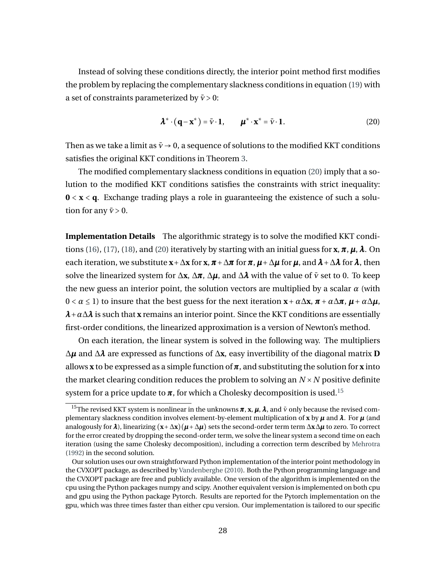Instead of solving these conditions directly, the interior point method first modifies the problem by replacing the complementary slackness conditions in equation [\(19\)](#page-28-1) with a set of constraints parameterized by  $\bar{v} > 0$ :

<span id="page-29-0"></span>
$$
\boldsymbol{\lambda}^* \cdot (\mathbf{q} - \mathbf{x}^*) = \bar{\mathbf{v}} \cdot \mathbf{1}, \qquad \boldsymbol{\mu}^* \cdot \mathbf{x}^* = \bar{\mathbf{v}} \cdot \mathbf{1}.
$$
 (20)

Then as we take a limit as  $\bar{v} \rightarrow 0$ , a sequence of solutions to the modified KKT conditions satisfies the original KKT conditions in Theorem [3.](#page-28-2)

The modified complementary slackness conditions in equation [\(20\)](#page-29-0) imply that a solution to the modified KKT conditions satisfies the constraints with strict inequality: **0** < **x** < **q**. Exchange trading plays a role in guaranteeing the existence of such a solution for any  $\bar{v}$  > 0.

**Implementation Details** The algorithmic strategy is to solve the modified KKT condi-tions [\(16\)](#page-28-0), [\(17\)](#page-28-3), [\(18\)](#page-28-4), and [\(20\)](#page-29-0) iteratively by starting with an initial guess for  $\mathbf{x}, \pi, \mu, \lambda$ . On each iteration, we substitute  $\mathbf{x}+\Delta\mathbf{x}$  for  $\mathbf{x}, \pi+\Delta\pi$  for  $\pi, \mu+\Delta\mu$  for  $\mu$ , and  $\lambda+\Delta\lambda$  for  $\lambda$ , then solve the linearized system for  $\Delta x$ ,  $\Delta \pi$ ,  $\Delta \mu$ , and  $\Delta \lambda$  with the value of  $\bar{v}$  set to 0. To keep the new guess an interior point, the solution vectors are multiplied by a scalar  $\alpha$  (with 0 < *α* ≤ 1) to insure that the best guess for the next iteration **x**+*α*∆**x**, *π* +*α*∆*π*, *µ* +*α*∆*µ*, *λ*+*α*∆*λ* is such that **x** remains an interior point. Since the KKT conditions are essentially first-order conditions, the linearized approximation is a version of Newton's method.

On each iteration, the linear system is solved in the following way. The multipliers ∆*µ* and ∆*λ* are expressed as functions of ∆**x**, easy invertibility of the diagonal matrix **D** allows **x** to be expressed as a simple function of*π*, and substituting the solution for **x** into the market clearing condition reduces the problem to solving an  $N \times N$  positive definite system for a price update to  $\pi$ , for which a Cholesky decomposition is used.<sup>[15](#page-29-1)</sup>

<span id="page-29-1"></span><sup>&</sup>lt;sup>15</sup>The revised KKT system is nonlinear in the unknowns  $\pi$ ,  $\mathbf{x}$ ,  $\mu$ ,  $\lambda$ , and  $\bar{v}$  only because the revised complementary slackness condition involves element-by-element multiplication of **x** by *µ* and *λ*. For *µ* (and analogously for  $\lambda$ ), linearizing  $(x + \Delta x)(\mu + \Delta \mu)$  sets the second-order term term  $\Delta x \Delta \mu$  to zero. To correct for the error created by dropping the second-order term, we solve the linear system a second time on each iteration (using the same Cholesky decomposition), including a correction term described by [Mehrotra](#page-49-11) [\(1992\)](#page-49-11) in the second solution.

Our solution uses our own straightforward Python implementation of the interior point methodology in the CVXOPT package, as described by [Vandenberghe](#page-50-9) [\(2010\)](#page-50-9). Both the Python programming language and the CVXOPT package are free and publicly available. One version of the algorithm is implemented on the cpu using the Python packages numpy and scipy. Another equivalent version is implemented on both cpu and gpu using the Python package Pytorch. Results are reported for the Pytorch implementation on the gpu, which was three times faster than either cpu version. Our implementation is tailored to our specific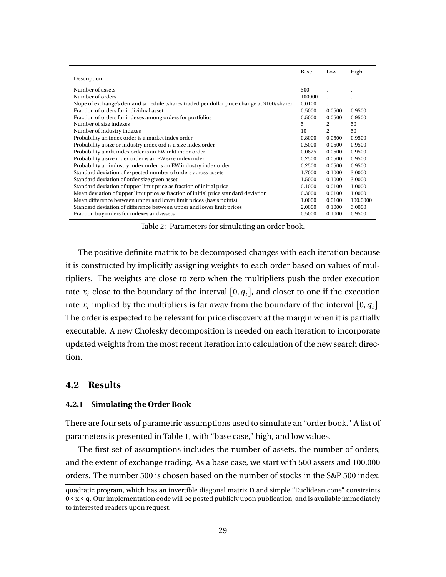<span id="page-30-1"></span>

|                                                                                            | Base   | Low            | High     |
|--------------------------------------------------------------------------------------------|--------|----------------|----------|
| Description                                                                                |        |                |          |
| Number of assets                                                                           | 500    |                |          |
| Number of orders                                                                           | 100000 |                |          |
| Slope of exchange's demand schedule (shares traded per dollar price change at \$100/share) | 0.0100 |                |          |
| Fraction of orders for individual asset                                                    | 0.5000 | 0.0500         | 0.9500   |
| Fraction of orders for indexes among orders for portfolios                                 | 0.5000 | 0.0500         | 0.9500   |
| Number of size indexes                                                                     | 5.     | 2              | 50       |
| Number of industry indexes                                                                 | 10     | $\mathfrak{D}$ | 50       |
| Probability an index order is a market index order                                         | 0.8000 | 0.0500         | 0.9500   |
| Probability a size or industry index ord is a size index order                             | 0.5000 | 0.0500         | 0.9500   |
| Probability a mkt index order is an EW mkt index order                                     | 0.0625 | 0.0500         | 0.9500   |
| Probability a size index order is an EW size index order                                   | 0.2500 | 0.0500         | 0.9500   |
| Probability an industry index order is an EW industry index order                          | 0.2500 | 0.0500         | 0.9500   |
| Standard deviation of expected number of orders across assets                              | 1.7000 | 0.1000         | 3.0000   |
| Standard deviation of order size given asset                                               | 1.5000 | 0.1000         | 3.0000   |
| Standard deviation of upper limit price as fraction of initial price                       | 0.1000 | 0.0100         | 1.0000   |
| Mean deviation of upper limit price as fraction of initial price standard deviation        | 0.3000 | 0.0100         | 1.0000   |
| Mean difference between upper and lower limit prices (basis points)                        | 1.0000 | 0.0100         | 100.0000 |
| Standard deviation of difference between upper and lower limit prices                      | 2.0000 | 0.1000         | 3.0000   |
| Fraction buy orders for indexes and assets                                                 | 0.5000 | 0.1000         | 0.9500   |

Table 2: Parameters for simulating an order book.

The positive definite matrix to be decomposed changes with each iteration because it is constructed by implicitly assigning weights to each order based on values of multipliers. The weights are close to zero when the multipliers push the order execution rate  $x_i$  close to the boundary of the interval  $[0, q_i]$ , and closer to one if the execution rate  $x_i$  implied by the multipliers is far away from the boundary of the interval  $[0,q_i].$ The order is expected to be relevant for price discovery at the margin when it is partially executable. A new Cholesky decomposition is needed on each iteration to incorporate updated weights from the most recent iteration into calculation of the new search direction.

#### <span id="page-30-0"></span>**4.2 Results**

#### **4.2.1 Simulating the Order Book**

There are four sets of parametric assumptions used to simulate an "order book." A list of parameters is presented in Table 1, with "base case," high, and low values.

The first set of assumptions includes the number of assets, the number of orders, and the extent of exchange trading. As a base case, we start with 500 assets and 100,000 orders. The number 500 is chosen based on the number of stocks in the S&P 500 index.

quadratic program, which has an invertible diagonal matrix **D** and simple "Euclidean cone" constraints **0** ≤ **x** ≤ **q**. Our implementation code will be posted publicly upon publication, and is available immediately to interested readers upon request.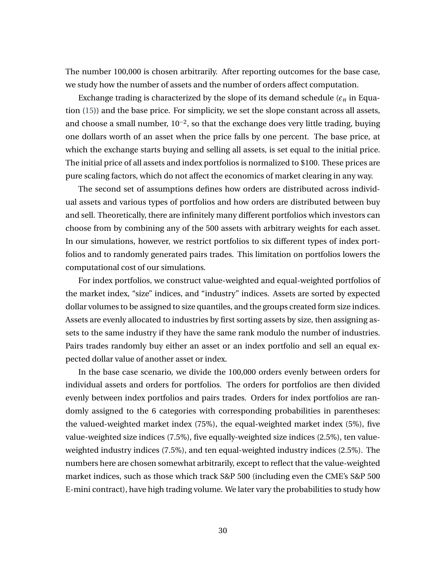The number 100,000 is chosen arbitrarily. After reporting outcomes for the base case, we study how the number of assets and the number of orders affect computation.

Exchange trading is characterized by the slope of its demand schedule  $(\epsilon_n)$  in Equation [\(15\)](#page-27-1)) and the base price. For simplicity, we set the slope constant across all assets, and choose a small number,  $10^{-2}$ , so that the exchange does very little trading, buying one dollars worth of an asset when the price falls by one percent. The base price, at which the exchange starts buying and selling all assets, is set equal to the initial price. The initial price of all assets and index portfolios is normalized to \$100. These prices are pure scaling factors, which do not affect the economics of market clearing in any way.

The second set of assumptions defines how orders are distributed across individual assets and various types of portfolios and how orders are distributed between buy and sell. Theoretically, there are infinitely many different portfolios which investors can choose from by combining any of the 500 assets with arbitrary weights for each asset. In our simulations, however, we restrict portfolios to six different types of index portfolios and to randomly generated pairs trades. This limitation on portfolios lowers the computational cost of our simulations.

For index portfolios, we construct value-weighted and equal-weighted portfolios of the market index, "size" indices, and "industry" indices. Assets are sorted by expected dollar volumes to be assigned to size quantiles, and the groups created form size indices. Assets are evenly allocated to industries by first sorting assets by size, then assigning assets to the same industry if they have the same rank modulo the number of industries. Pairs trades randomly buy either an asset or an index portfolio and sell an equal expected dollar value of another asset or index.

In the base case scenario, we divide the 100,000 orders evenly between orders for individual assets and orders for portfolios. The orders for portfolios are then divided evenly between index portfolios and pairs trades. Orders for index portfolios are randomly assigned to the 6 categories with corresponding probabilities in parentheses: the valued-weighted market index (75%), the equal-weighted market index (5%), five value-weighted size indices (7.5%), five equally-weighted size indices (2.5%), ten valueweighted industry indices (7.5%), and ten equal-weighted industry indices (2.5%). The numbers here are chosen somewhat arbitrarily, except to reflect that the value-weighted market indices, such as those which track S&P 500 (including even the CME's S&P 500 E-mini contract), have high trading volume. We later vary the probabilities to study how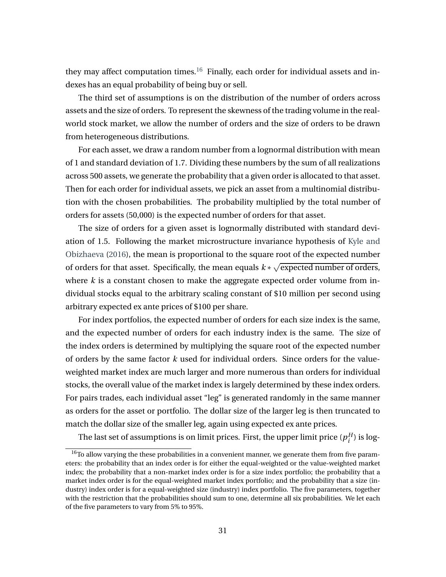they may affect computation times.<sup>[16](#page-32-0)</sup> Finally, each order for individual assets and indexes has an equal probability of being buy or sell.

The third set of assumptions is on the distribution of the number of orders across assets and the size of orders. To represent the skewness of the trading volume in the realworld stock market, we allow the number of orders and the size of orders to be drawn from heterogeneous distributions.

For each asset, we draw a random number from a lognormal distribution with mean of 1 and standard deviation of 1.7. Dividing these numbers by the sum of all realizations across 500 assets, we generate the probability that a given order is allocated to that asset. Then for each order for individual assets, we pick an asset from a multinomial distribution with the chosen probabilities. The probability multiplied by the total number of orders for assets (50,000) is the expected number of orders for that asset.

The size of orders for a given asset is lognormally distributed with standard deviation of 1.5. Following the market microstructure invariance hypothesis of [Kyle and](#page-48-11) [Obizhaeva](#page-48-11) [\(2016\)](#page-48-11), the mean is proportional to the square root of the expected number of orders for that asset. Specifically, the mean equals *k* ∗ √ expected number of orders, where *k* is a constant chosen to make the aggregate expected order volume from individual stocks equal to the arbitrary scaling constant of \$10 million per second using arbitrary expected ex ante prices of \$100 per share.

For index portfolios, the expected number of orders for each size index is the same, and the expected number of orders for each industry index is the same. The size of the index orders is determined by multiplying the square root of the expected number of orders by the same factor *k* used for individual orders. Since orders for the valueweighted market index are much larger and more numerous than orders for individual stocks, the overall value of the market index is largely determined by these index orders. For pairs trades, each individual asset "leg" is generated randomly in the same manner as orders for the asset or portfolio. The dollar size of the larger leg is then truncated to match the dollar size of the smaller leg, again using expected ex ante prices.

The last set of assumptions is on limit prices. First, the upper limit price ( $p_i^H$  $_i^H$ ) is log-

<span id="page-32-0"></span> $16$ To allow varying the these probabilities in a convenient manner, we generate them from five parameters: the probability that an index order is for either the equal-weighted or the value-weighted market index; the probability that a non-market index order is for a size index portfolio; the probability that a market index order is for the equal-weighted market index portfolio; and the probability that a size (industry) index order is for a equal-weighted size (industry) index portfolio. The five parameters, together with the restriction that the probabilities should sum to one, determine all six probabilities. We let each of the five parameters to vary from 5% to 95%.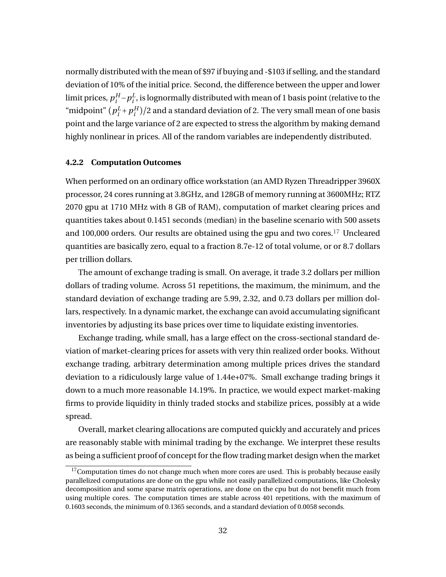normally distributed with the mean of \$97 if buying and -\$103 if selling, and the standard deviation of 10% of the initial price. Second, the difference between the upper and lower limit prices, *p H*  $i^H - p_i^L$  $\frac{L}{i}$ , is lognormally distributed with mean of 1 basis point (relative to the "midpoint" (*p L*  $i^L$  +  $p_i^H$  $\binom{H}{i}/2$  and a standard deviation of 2. The very small mean of one basis point and the large variance of 2 are expected to stress the algorithm by making demand highly nonlinear in prices. All of the random variables are independently distributed.

#### **4.2.2 Computation Outcomes**

When performed on an ordinary office workstation (an AMD Ryzen Threadripper 3960X processor, 24 cores running at 3.8GHz, and 128GB of memory running at 3600MHz; RTZ 2070 gpu at 1710 MHz with 8 GB of RAM), computation of market clearing prices and quantities takes about 0.1451 seconds (median) in the baseline scenario with 500 assets and 100,000 orders. Our results are obtained using the gpu and two cores.[17](#page-33-0) Uncleared quantities are basically zero, equal to a fraction 8.7e-12 of total volume, or or 8.7 dollars per trillion dollars.

The amount of exchange trading is small. On average, it trade 3.2 dollars per million dollars of trading volume. Across 51 repetitions, the maximum, the minimum, and the standard deviation of exchange trading are 5.99, 2.32, and 0.73 dollars per million dollars, respectively. In a dynamic market, the exchange can avoid accumulating significant inventories by adjusting its base prices over time to liquidate existing inventories.

Exchange trading, while small, has a large effect on the cross-sectional standard deviation of market-clearing prices for assets with very thin realized order books. Without exchange trading, arbitrary determination among multiple prices drives the standard deviation to a ridiculously large value of 1.44e+07%. Small exchange trading brings it down to a much more reasonable 14.19%. In practice, we would expect market-making firms to provide liquidity in thinly traded stocks and stabilize prices, possibly at a wide spread.

Overall, market clearing allocations are computed quickly and accurately and prices are reasonably stable with minimal trading by the exchange. We interpret these results as being a sufficient proof of concept for the flow trading market design when the market

<span id="page-33-0"></span> $17$ Computation times do not change much when more cores are used. This is probably because easily parallelized computations are done on the gpu while not easily parallelized computations, like Cholesky decomposition and some sparse matrix operations, are done on the cpu but do not benefit much from using multiple cores. The computation times are stable across 401 repetitions, with the maximum of 0.1603 seconds, the minimum of 0.1365 seconds, and a standard deviation of 0.0058 seconds.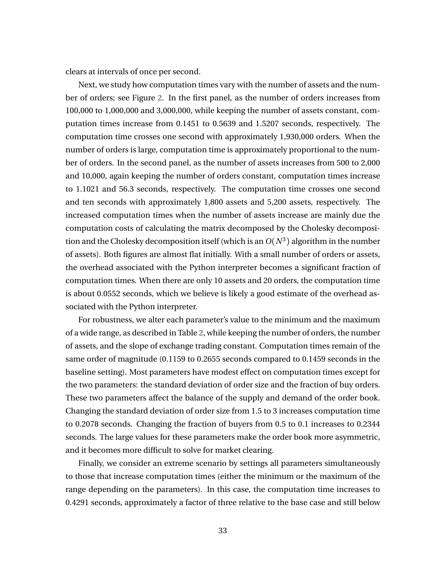clears at intervals of once per second.

Next, we study how computation times vary with the number of assets and the number of orders; see Figure [2.](#page-35-0) In the first panel, as the number of orders increases from 100,000 to 1,000,000 and 3,000,000, while keeping the number of assets constant, computation times increase from 0.1451 to 0.5639 and 1.5207 seconds, respectively. The computation time crosses one second with approximately 1,930,000 orders. When the number of orders is large, computation time is approximately proportional to the number of orders. In the second panel, as the number of assets increases from 500 to 2,000 and 10,000, again keeping the number of orders constant, computation times increase to 1.1021 and 56.3 seconds, respectively. The computation time crosses one second and ten seconds with approximately 1,800 assets and 5,200 assets, respectively. The increased computation times when the number of assets increase are mainly due the computation costs of calculating the matrix decomposed by the Cholesky decomposition and the Cholesky decomposition itself (which is an *O*(*N*<sup>3</sup>) algorithm in the number of assets). Both figures are almost flat initially. With a small number of orders or assets, the overhead associated with the Python interpreter becomes a significant fraction of computation times. When there are only 10 assets and 20 orders, the computation time is about 0.0552 seconds, which we believe is likely a good estimate of the overhead associated with the Python interpreter.

For robustness, we alter each parameter's value to the minimum and the maximum of a wide range, as described in Table [2,](#page-30-1) while keeping the number of orders, the number of assets, and the slope of exchange trading constant. Computation times remain of the same order of magnitude (0.1159 to 0.2655 seconds compared to 0.1459 seconds in the baseline setting). Most parameters have modest effect on computation times except for the two parameters: the standard deviation of order size and the fraction of buy orders. These two parameters affect the balance of the supply and demand of the order book. Changing the standard deviation of order size from 1.5 to 3 increases computation time to 0.2078 seconds. Changing the fraction of buyers from 0.5 to 0.1 increases to 0.2344 seconds. The large values for these parameters make the order book more asymmetric, and it becomes more difficult to solve for market clearing.

Finally, we consider an extreme scenario by settings all parameters simultaneously to those that increase computation times (either the minimum or the maximum of the range depending on the parameters). In this case, the computation time increases to 0.4291 seconds, approximately a factor of three relative to the base case and still below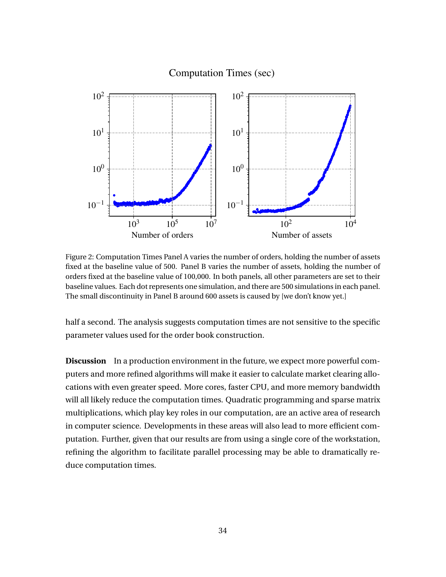### Computation Times (sec)

<span id="page-35-0"></span>

Figure 2: Computation Times Panel A varies the number of orders, holding the number of assets fixed at the baseline value of 500. Panel B varies the number of assets, holding the number of orders fixed at the baseline value of 100,000. In both panels, all other parameters are set to their baseline values. Each dot represents one simulation, and there are 500 simulations in each panel. The small discontinuity in Panel B around 600 assets is caused by [we don't know yet.]

half a second. The analysis suggests computation times are not sensitive to the specific parameter values used for the order book construction.

**Discussion** In a production environment in the future, we expect more powerful computers and more refined algorithms will make it easier to calculate market clearing allocations with even greater speed. More cores, faster CPU, and more memory bandwidth will all likely reduce the computation times. Quadratic programming and sparse matrix multiplications, which play key roles in our computation, are an active area of research in computer science. Developments in these areas will also lead to more efficient computation. Further, given that our results are from using a single core of the workstation, refining the algorithm to facilitate parallel processing may be able to dramatically reduce computation times.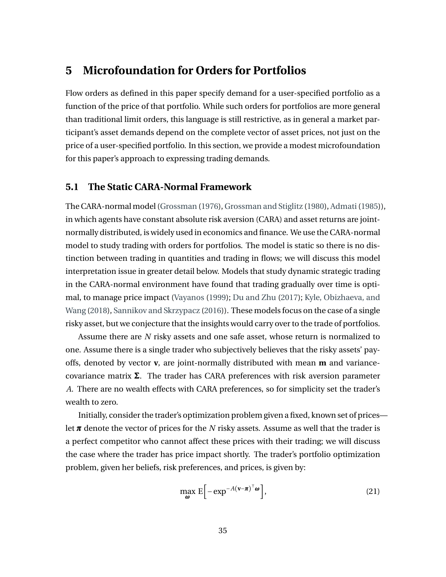## <span id="page-36-0"></span>**5 Microfoundation for Orders for Portfolios**

Flow orders as defined in this paper specify demand for a user-specified portfolio as a function of the price of that portfolio. While such orders for portfolios are more general than traditional limit orders, this language is still restrictive, as in general a market participant's asset demands depend on the complete vector of asset prices, not just on the price of a user-specified portfolio. In this section, we provide a modest microfoundation for this paper's approach to expressing trading demands.

#### **5.1 The Static CARA-Normal Framework**

The CARA-normal model [\(Grossman](#page-47-10) [\(1976\)](#page-47-10), [Grossman and Stiglitz](#page-47-11) [\(1980\)](#page-47-11), [Admati\(1985\)](#page-46-11)), in which agents have constant absolute risk aversion (CARA) and asset returns are jointnormally distributed, is widely used in economics and finance. We use the CARA-normal model to study trading with orders for portfolios. The model is static so there is no distinction between trading in quantities and trading in flows; we will discuss this model interpretation issue in greater detail below. Models that study dynamic strategic trading in the CARA-normal environment have found that trading gradually over time is optimal, to manage price impact [\(Vayanos](#page-50-5) [\(1999\)](#page-50-5); [Du and Zhu](#page-47-2) [\(2017\)](#page-47-2); [Kyle, Obizhaeva, and](#page-48-4) [Wang](#page-48-4) [\(2018\)](#page-48-4), [Sannikov and Skrzypacz](#page-50-10) [\(2016\)](#page-50-10)). These models focus on the case of a single risky asset, but we conjecture that the insights would carry over to the trade of portfolios.

Assume there are *N* risky assets and one safe asset, whose return is normalized to one. Assume there is a single trader who subjectively believes that the risky assets' payoffs, denoted by vector **v**, are joint-normally distributed with mean **m** and variancecovariance matrix Σ. The trader has CARA preferences with risk aversion parameter *A*. There are no wealth effects with CARA preferences, so for simplicity set the trader's wealth to zero.

Initially, consider the trader's optimization problem given a fixed, known set of prices let *π* denote the vector of prices for the *N* risky assets. Assume as well that the trader is a perfect competitor who cannot affect these prices with their trading; we will discuss the case where the trader has price impact shortly. The trader's portfolio optimization problem, given her beliefs, risk preferences, and prices, is given by:

$$
\max_{\boldsymbol{\omega}} \mathbf{E} \left[ -\exp^{-A(\mathbf{v}-\boldsymbol{\pi})^\top \boldsymbol{\omega}} \right],\tag{21}
$$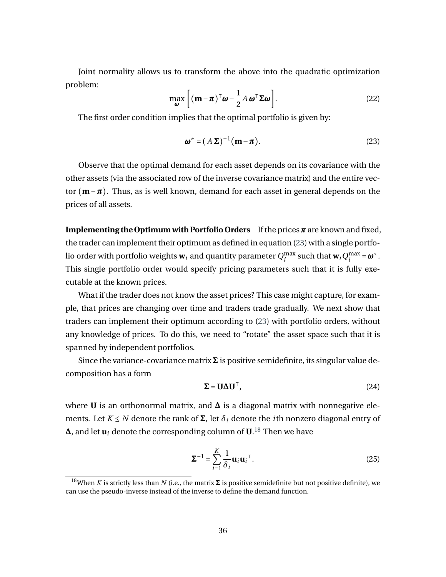Joint normality allows us to transform the above into the quadratic optimization problem:

<span id="page-37-2"></span>
$$
\max_{\boldsymbol{\omega}} \left[ (\mathbf{m} - \boldsymbol{\pi})^{\top} \boldsymbol{\omega} - \frac{1}{2} A \boldsymbol{\omega}^{\top} \boldsymbol{\Sigma} \boldsymbol{\omega} \right]. \tag{22}
$$

The first order condition implies that the optimal portfolio is given by:

<span id="page-37-0"></span>
$$
\boldsymbol{\omega}^* = (A\,\boldsymbol{\Sigma})^{-1}(\mathbf{m} - \boldsymbol{\pi}).\tag{23}
$$

Observe that the optimal demand for each asset depends on its covariance with the other assets (via the associated row of the inverse covariance matrix) and the entire vector (**m**−*π*). Thus, as is well known, demand for each asset in general depends on the prices of all assets.

**Implementing the Optimum with Portfolio Orders** If the prices*π* are known and fixed, the trader can implement their optimum as defined in equation [\(23\)](#page-37-0) with a single portfolio order with portfolio weights  $w_i$  and quantity parameter  $Q_i^{\max}$  such that  $w_i Q_i^{\max} = \omega^*$ . This single portfolio order would specify pricing parameters such that it is fully executable at the known prices.

What if the trader does not know the asset prices? This case might capture, for example, that prices are changing over time and traders trade gradually. We next show that traders can implement their optimum according to [\(23\)](#page-37-0) with portfolio orders, without any knowledge of prices. To do this, we need to "rotate" the asset space such that it is spanned by independent portfolios.

Since the variance-covariance matrix  $\Sigma$  is positive semidefinite, its singular value decomposition has a form

$$
\Sigma = \mathbf{U} \Delta \mathbf{U}^\top, \tag{24}
$$

where **U** is an orthonormal matrix, and  $\Delta$  is a diagonal matrix with nonnegative elements. Let  $K \leq N$  denote the rank of  $\Sigma$ , let  $\delta_i$  denote the *i*th nonzero diagonal entry of  $\boldsymbol{\Delta}$ , and let  $\boldsymbol{\mathsf{u}}_i$  denote the corresponding column of  $\boldsymbol{\mathsf{U}}$ .<sup>[18](#page-37-1)</sup> Then we have

$$
\Sigma^{-1} = \sum_{i=1}^{K} \frac{1}{\delta_i} \mathbf{u}_i \mathbf{u}_i^{\top}.
$$
 (25)

<span id="page-37-1"></span><sup>&</sup>lt;sup>18</sup>When *K* is strictly less than *N* (i.e., the matrix  $\Sigma$  is positive semidefinite but not positive definite), we can use the pseudo-inverse instead of the inverse to define the demand function.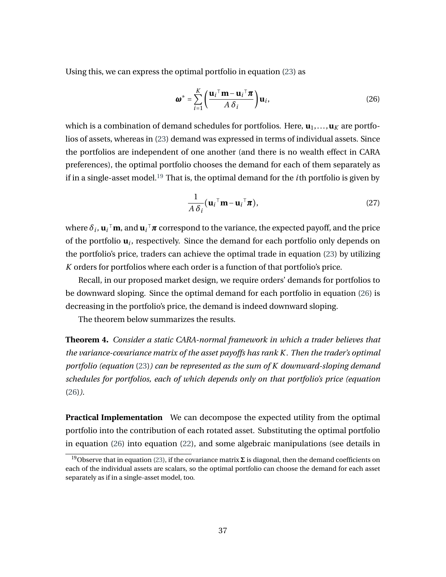Using this, we can express the optimal portfolio in equation [\(23\)](#page-37-0) as

<span id="page-38-1"></span>
$$
\boldsymbol{\omega}^* = \sum_{i=1}^K \left( \frac{\mathbf{u}_i{}^{\top} \mathbf{m} - \mathbf{u}_i{}^{\top} \boldsymbol{\pi}}{A \delta_i} \right) \mathbf{u}_i, \tag{26}
$$

which is a combination of demand schedules for portfolios. Here,  $\mathbf{u}_1, \ldots, \mathbf{u}_K$  are portfolios of assets, whereas in [\(23\)](#page-37-0) demand was expressed in terms of individual assets. Since the portfolios are independent of one another (and there is no wealth effect in CARA preferences), the optimal portfolio chooses the demand for each of them separately as if in a single-asset model.[19](#page-38-0) That is, the optimal demand for the *i*th portfolio is given by

$$
\frac{1}{A\,\delta_i}(\mathbf{u}_i{}^{\top}\mathbf{m} - \mathbf{u}_i{}^{\top}\boldsymbol{\pi}),
$$
\n(27)

where  $\delta_i$ ,  $\mathbf{u}_i{}^\top \mathbf{m}$ , and  $\mathbf{u}_i{}^\top \bm{\pi}$  correspond to the variance, the expected payoff, and the price of the portfolio **u***<sup>i</sup>* , respectively. Since the demand for each portfolio only depends on the portfolio's price, traders can achieve the optimal trade in equation [\(23\)](#page-37-0) by utilizing *K* orders for portfolios where each order is a function of that portfolio's price.

Recall, in our proposed market design, we require orders' demands for portfolios to be downward sloping. Since the optimal demand for each portfolio in equation [\(26\)](#page-38-1) is decreasing in the portfolio's price, the demand is indeed downward sloping.

The theorem below summarizes the results.

**Theorem 4.** *Consider a static CARA-normal framework in which a trader believes that the variance-covariance matrix of the asset payoffs has rank K . Then the trader's optimal portfolio (equation* [\(23\)](#page-37-0)*) can be represented as the sum of K downward-sloping demand schedules for portfolios, each of which depends only on that portfolio's price (equation* [\(26\)](#page-38-1)*).*

**Practical Implementation** We can decompose the expected utility from the optimal portfolio into the contribution of each rotated asset. Substituting the optimal portfolio in equation [\(26\)](#page-38-1) into equation [\(22\)](#page-37-2), and some algebraic manipulations (see details in

<span id="page-38-0"></span><sup>&</sup>lt;sup>19</sup>Observe that in equation [\(23\)](#page-37-0), if the covariance matrix  $\Sigma$  is diagonal, then the demand coefficients on each of the individual assets are scalars, so the optimal portfolio can choose the demand for each asset separately as if in a single-asset model, too.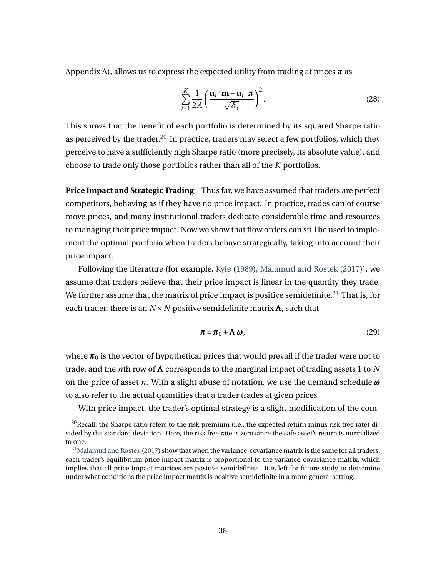Appendix A), allows us to express the expected utility from trading at prices *π* as

<span id="page-39-3"></span>
$$
\sum_{i=1}^{K} \frac{1}{2A} \left( \frac{\mathbf{u}_i^{\top} \mathbf{m} - \mathbf{u}_i^{\top} \boldsymbol{\pi}}{\sqrt{\delta_i}} \right)^2.
$$
 (28)

This shows that the benefit of each portfolio is determined by its squared Sharpe ratio as perceived by the trader.<sup>[20](#page-39-0)</sup> In practice, traders may select a few portfolios, which they perceive to have a sufficiently high Sharpe ratio (more precisely, its absolute value), and choose to trade only those portfolios rather than all of the *K* portfolios.

**Price Impact and Strategic Trading** Thus far, we have assumed that traders are perfect competitors, behaving as if they have no price impact. In practice, trades can of course move prices, and many institutional traders dedicate considerable time and resources to managing their price impact. Now we show that flow orders can still be used to implement the optimal portfolio when traders behave strategically, taking into account their price impact.

Following the literature (for example, [Kyle](#page-48-6) [\(1989\)](#page-48-6); [Malamud and Rostek](#page-49-12) [\(2017\)](#page-49-12)), we assume that traders believe that their price impact is linear in the quantity they trade. We further assume that the matrix of price impact is positive semidefinite.<sup>[21](#page-39-1)</sup> That is, for each trader, there is an  $N \times N$  positive semidefinite matrix  $\Lambda$ , such that

<span id="page-39-2"></span>
$$
\boldsymbol{\pi} = \boldsymbol{\pi}_0 + \boldsymbol{\Lambda} \boldsymbol{\omega},\tag{29}
$$

where  $\pi_0$  is the vector of hypothetical prices that would prevail if the trader were not to trade, and the *n*th row of Λ corresponds to the marginal impact of trading assets 1 to *N* on the price of asset *n*. With a slight abuse of notation, we use the demand schedule *ω* to also refer to the actual quantities that a trader trades at given prices.

With price impact, the trader's optimal strategy is a slight modification of the com-

<span id="page-39-0"></span> $20$ Recall, the Sharpe ratio refers to the risk premium (i.e., the expected return minus risk free rate) divided by the standard deviation. Here, the risk free rate is zero since the safe asset's return is normalized to one.

<span id="page-39-1"></span> $^{21}$ [Malamud and Rostek](#page-49-12) [\(2017\)](#page-49-12) show that when the variance-covariance matrix is the same for all traders, each trader's equilibrium price impact matrix is proportional to the variance-covariance matrix, which implies that all price impact matrices are positive semidefinite. It is left for future study to determine under what conditions the price impact matrix is positive semidefinite in a more general setting.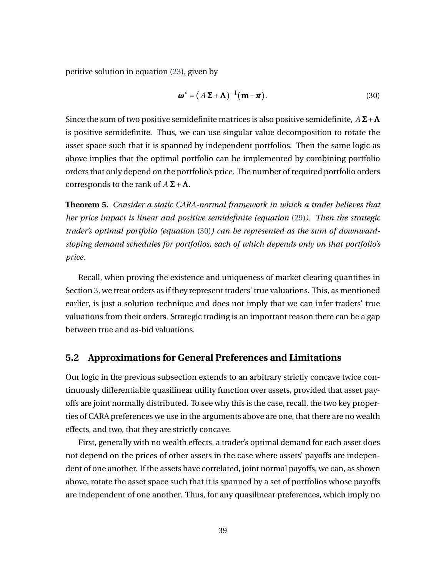petitive solution in equation [\(23\)](#page-37-0), given by

<span id="page-40-0"></span>
$$
\boldsymbol{\omega}^* = (A\,\boldsymbol{\Sigma} + \boldsymbol{\Lambda})^{-1}(\mathbf{m} - \boldsymbol{\pi}).
$$
\n(30)

Since the sum of two positive semidefinite matrices is also positive semidefinite,  $A\Sigma + \Lambda$ is positive semidefinite. Thus, we can use singular value decomposition to rotate the asset space such that it is spanned by independent portfolios. Then the same logic as above implies that the optimal portfolio can be implemented by combining portfolio orders that only depend on the portfolio's price. The number of required portfolio orders corresponds to the rank of  $A\Sigma + \Lambda$ .

**Theorem 5.** *Consider a static CARA-normal framework in which a trader believes that her price impact is linear and positive semidefinite (equation* [\(29\)](#page-39-2)*). Then the strategic trader's optimal portfolio (equation* [\(30\)](#page-40-0)*) can be represented as the sum of downwardsloping demand schedules for portfolios, each of which depends only on that portfolio's price.*

Recall, when proving the existence and uniqueness of market clearing quantities in Section [3,](#page-20-0) we treat orders as if they represent traders' true valuations. This, as mentioned earlier, is just a solution technique and does not imply that we can infer traders' true valuations from their orders. Strategic trading is an important reason there can be a gap between true and as-bid valuations.

#### **5.2 Approximations for General Preferences and Limitations**

Our logic in the previous subsection extends to an arbitrary strictly concave twice continuously differentiable quasilinear utility function over assets, provided that asset payoffs are joint normally distributed. To see why this is the case, recall, the two key properties of CARA preferences we use in the arguments above are one, that there are no wealth effects, and two, that they are strictly concave.

First, generally with no wealth effects, a trader's optimal demand for each asset does not depend on the prices of other assets in the case where assets' payoffs are independent of one another. If the assets have correlated, joint normal payoffs, we can, as shown above, rotate the asset space such that it is spanned by a set of portfolios whose payoffs are independent of one another. Thus, for any quasilinear preferences, which imply no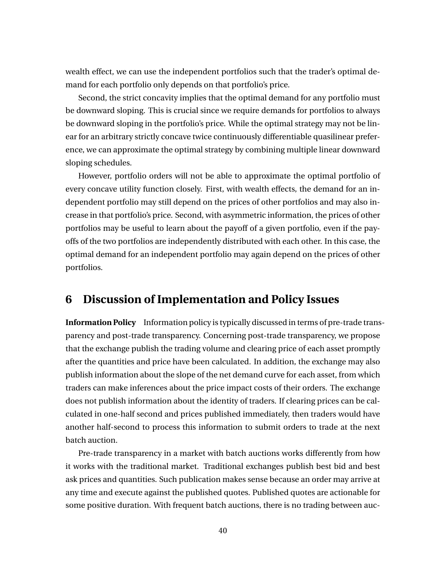wealth effect, we can use the independent portfolios such that the trader's optimal demand for each portfolio only depends on that portfolio's price.

Second, the strict concavity implies that the optimal demand for any portfolio must be downward sloping. This is crucial since we require demands for portfolios to always be downward sloping in the portfolio's price. While the optimal strategy may not be linear for an arbitrary strictly concave twice continuously differentiable quasilinear preference, we can approximate the optimal strategy by combining multiple linear downward sloping schedules.

However, portfolio orders will not be able to approximate the optimal portfolio of every concave utility function closely. First, with wealth effects, the demand for an independent portfolio may still depend on the prices of other portfolios and may also increase in that portfolio's price. Second, with asymmetric information, the prices of other portfolios may be useful to learn about the payoff of a given portfolio, even if the payoffs of the two portfolios are independently distributed with each other. In this case, the optimal demand for an independent portfolio may again depend on the prices of other portfolios.

## <span id="page-41-0"></span>**6 Discussion of Implementation and Policy Issues**

**Information Policy** Information policy is typically discussed in terms of pre-trade transparency and post-trade transparency. Concerning post-trade transparency, we propose that the exchange publish the trading volume and clearing price of each asset promptly after the quantities and price have been calculated. In addition, the exchange may also publish information about the slope of the net demand curve for each asset, from which traders can make inferences about the price impact costs of their orders. The exchange does not publish information about the identity of traders. If clearing prices can be calculated in one-half second and prices published immediately, then traders would have another half-second to process this information to submit orders to trade at the next batch auction.

Pre-trade transparency in a market with batch auctions works differently from how it works with the traditional market. Traditional exchanges publish best bid and best ask prices and quantities. Such publication makes sense because an order may arrive at any time and execute against the published quotes. Published quotes are actionable for some positive duration. With frequent batch auctions, there is no trading between auc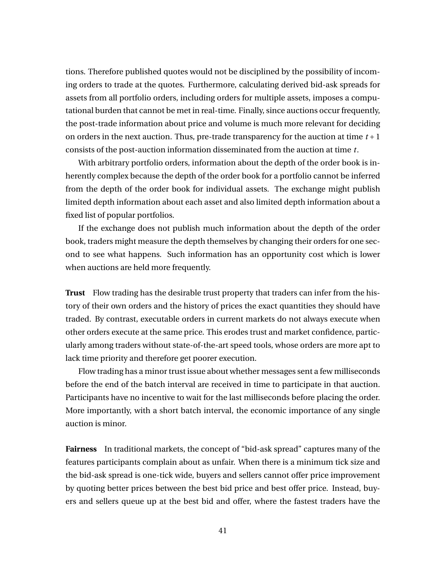tions. Therefore published quotes would not be disciplined by the possibility of incoming orders to trade at the quotes. Furthermore, calculating derived bid-ask spreads for assets from all portfolio orders, including orders for multiple assets, imposes a computational burden that cannot be met in real-time. Finally, since auctions occur frequently, the post-trade information about price and volume is much more relevant for deciding on orders in the next auction. Thus, pre-trade transparency for the auction at time *t* +1 consists of the post-auction information disseminated from the auction at time *t*.

With arbitrary portfolio orders, information about the depth of the order book is inherently complex because the depth of the order book for a portfolio cannot be inferred from the depth of the order book for individual assets. The exchange might publish limited depth information about each asset and also limited depth information about a fixed list of popular portfolios.

If the exchange does not publish much information about the depth of the order book, traders might measure the depth themselves by changing their orders for one second to see what happens. Such information has an opportunity cost which is lower when auctions are held more frequently.

**Trust** Flow trading has the desirable trust property that traders can infer from the history of their own orders and the history of prices the exact quantities they should have traded. By contrast, executable orders in current markets do not always execute when other orders execute at the same price. This erodes trust and market confidence, particularly among traders without state-of-the-art speed tools, whose orders are more apt to lack time priority and therefore get poorer execution.

Flow trading has a minor trust issue about whether messages sent a few milliseconds before the end of the batch interval are received in time to participate in that auction. Participants have no incentive to wait for the last milliseconds before placing the order. More importantly, with a short batch interval, the economic importance of any single auction is minor.

**Fairness** In traditional markets, the concept of "bid-ask spread" captures many of the features participants complain about as unfair. When there is a minimum tick size and the bid-ask spread is one-tick wide, buyers and sellers cannot offer price improvement by quoting better prices between the best bid price and best offer price. Instead, buyers and sellers queue up at the best bid and offer, where the fastest traders have the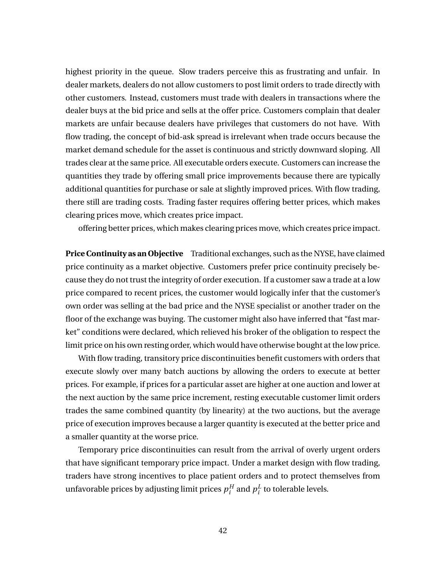highest priority in the queue. Slow traders perceive this as frustrating and unfair. In dealer markets, dealers do not allow customers to post limit orders to trade directly with other customers. Instead, customers must trade with dealers in transactions where the dealer buys at the bid price and sells at the offer price. Customers complain that dealer markets are unfair because dealers have privileges that customers do not have. With flow trading, the concept of bid-ask spread is irrelevant when trade occurs because the market demand schedule for the asset is continuous and strictly downward sloping. All trades clear at the same price. All executable orders execute. Customers can increase the quantities they trade by offering small price improvements because there are typically additional quantities for purchase or sale at slightly improved prices. With flow trading, there still are trading costs. Trading faster requires offering better prices, which makes clearing prices move, which creates price impact.

offering better prices, which makes clearing prices move, which creates price impact.

**Price Continuity as an Objective** Traditional exchanges, such as the NYSE, have claimed price continuity as a market objective. Customers prefer price continuity precisely because they do not trust the integrity of order execution. If a customer saw a trade at a low price compared to recent prices, the customer would logically infer that the customer's own order was selling at the bad price and the NYSE specialist or another trader on the floor of the exchange was buying. The customer might also have inferred that "fast market" conditions were declared, which relieved his broker of the obligation to respect the limit price on his own resting order, which would have otherwise bought at the low price.

With flow trading, transitory price discontinuities benefit customers with orders that execute slowly over many batch auctions by allowing the orders to execute at better prices. For example, if prices for a particular asset are higher at one auction and lower at the next auction by the same price increment, resting executable customer limit orders trades the same combined quantity (by linearity) at the two auctions, but the average price of execution improves because a larger quantity is executed at the better price and a smaller quantity at the worse price.

Temporary price discontinuities can result from the arrival of overly urgent orders that have significant temporary price impact. Under a market design with flow trading, traders have strong incentives to place patient orders and to protect themselves from unfavorable prices by adjusting limit prices  $p_i^H$  $\sum_i^H$  and  $p_i^L$  $\frac{L}{i}$  to tolerable levels.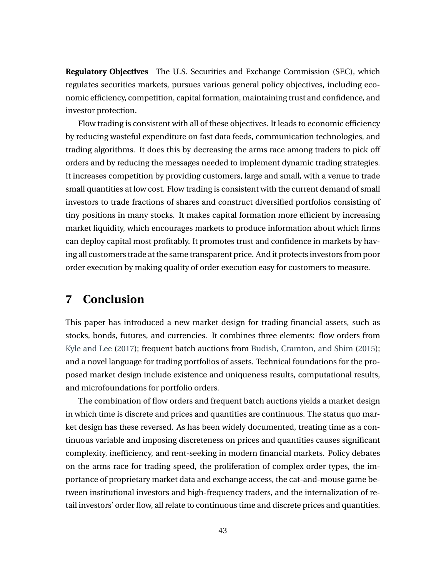**Regulatory Objectives** The U.S. Securities and Exchange Commission (SEC), which regulates securities markets, pursues various general policy objectives, including economic efficiency, competition, capital formation, maintaining trust and confidence, and investor protection.

Flow trading is consistent with all of these objectives. It leads to economic efficiency by reducing wasteful expenditure on fast data feeds, communication technologies, and trading algorithms. It does this by decreasing the arms race among traders to pick off orders and by reducing the messages needed to implement dynamic trading strategies. It increases competition by providing customers, large and small, with a venue to trade small quantities at low cost. Flow trading is consistent with the current demand of small investors to trade fractions of shares and construct diversified portfolios consisting of tiny positions in many stocks. It makes capital formation more efficient by increasing market liquidity, which encourages markets to produce information about which firms can deploy capital most profitably. It promotes trust and confidence in markets by having all customers trade at the same transparent price. And it protects investors from poor order execution by making quality of order execution easy for customers to measure.

## <span id="page-44-0"></span>**7 Conclusion**

This paper has introduced a new market design for trading financial assets, such as stocks, bonds, futures, and currencies. It combines three elements: flow orders from [Kyle and Lee](#page-48-0) [\(2017\)](#page-48-0); frequent batch auctions from [Budish, Cramton, and Shim](#page-46-0) [\(2015\)](#page-46-0); and a novel language for trading portfolios of assets. Technical foundations for the proposed market design include existence and uniqueness results, computational results, and microfoundations for portfolio orders.

The combination of flow orders and frequent batch auctions yields a market design in which time is discrete and prices and quantities are continuous. The status quo market design has these reversed. As has been widely documented, treating time as a continuous variable and imposing discreteness on prices and quantities causes significant complexity, inefficiency, and rent-seeking in modern financial markets. Policy debates on the arms race for trading speed, the proliferation of complex order types, the importance of proprietary market data and exchange access, the cat-and-mouse game between institutional investors and high-frequency traders, and the internalization of retail investors' order flow, all relate to continuous time and discrete prices and quantities.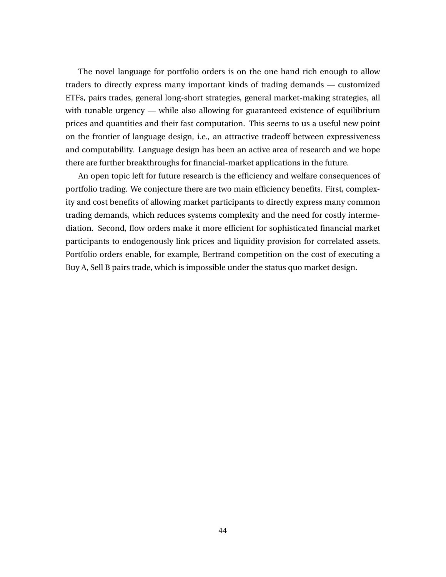The novel language for portfolio orders is on the one hand rich enough to allow traders to directly express many important kinds of trading demands — customized ETFs, pairs trades, general long-short strategies, general market-making strategies, all with tunable urgency — while also allowing for guaranteed existence of equilibrium prices and quantities and their fast computation. This seems to us a useful new point on the frontier of language design, i.e., an attractive tradeoff between expressiveness and computability. Language design has been an active area of research and we hope there are further breakthroughs for financial-market applications in the future.

An open topic left for future research is the efficiency and welfare consequences of portfolio trading. We conjecture there are two main efficiency benefits. First, complexity and cost benefits of allowing market participants to directly express many common trading demands, which reduces systems complexity and the need for costly intermediation. Second, flow orders make it more efficient for sophisticated financial market participants to endogenously link prices and liquidity provision for correlated assets. Portfolio orders enable, for example, Bertrand competition on the cost of executing a Buy A, Sell B pairs trade, which is impossible under the status quo market design.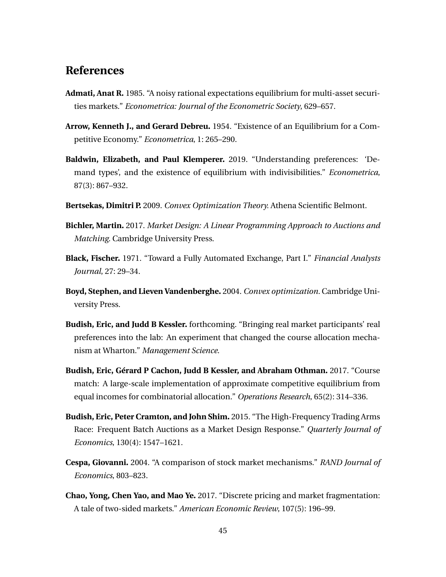## **References**

- <span id="page-46-11"></span>**Admati, Anat R.** 1985. "A noisy rational expectations equilibrium for multi-asset securities markets." *Econometrica: Journal of the Econometric Society*, 629–657.
- <span id="page-46-7"></span>**Arrow, Kenneth J., and Gerard Debreu.** 1954. "Existence of an Equilibrium for a Competitive Economy." *Econometrica*, 1: 265–290.
- <span id="page-46-8"></span>**Baldwin, Elizabeth, and Paul Klemperer.** 2019. "Understanding preferences: 'Demand types', and the existence of equilibrium with indivisibilities." *Econometrica*, 87(3): 867–932.
- <span id="page-46-10"></span>**Bertsekas, Dimitri P.** 2009. *Convex Optimization Theory.* Athena Scientific Belmont.
- <span id="page-46-2"></span>**Bichler, Martin.** 2017. *Market Design: A Linear Programming Approach to Auctions and Matching.* Cambridge University Press.
- <span id="page-46-5"></span>**Black, Fischer.** 1971. "Toward a Fully Automated Exchange, Part I." *Financial Analysts Journal*, 27: 29–34.
- <span id="page-46-9"></span>**Boyd, Stephen, and Lieven Vandenberghe.** 2004. *Convex optimization.* Cambridge University Press.
- <span id="page-46-4"></span>**Budish, Eric, and Judd B Kessler.** forthcoming. "Bringing real market participants' real preferences into the lab: An experiment that changed the course allocation mechanism at Wharton." *Management Science*.
- <span id="page-46-3"></span>**Budish, Eric, Gérard P Cachon, Judd B Kessler, and Abraham Othman.** 2017. "Course match: A large-scale implementation of approximate competitive equilibrium from equal incomes for combinatorial allocation." *Operations Research*, 65(2): 314–336.
- <span id="page-46-0"></span>**Budish, Eric, Peter Cramton, and John Shim.** 2015. "The High-Frequency Trading Arms Race: Frequent Batch Auctions as a Market Design Response." *Quarterly Journal of Economics*, 130(4): 1547–1621.
- <span id="page-46-6"></span>**Cespa, Giovanni.** 2004. "A comparison of stock market mechanisms." *RAND Journal of Economics*, 803–823.
- <span id="page-46-1"></span>**Chao, Yong, Chen Yao, and Mao Ye.** 2017. "Discrete pricing and market fragmentation: A tale of two-sided markets." *American Economic Review*, 107(5): 196–99.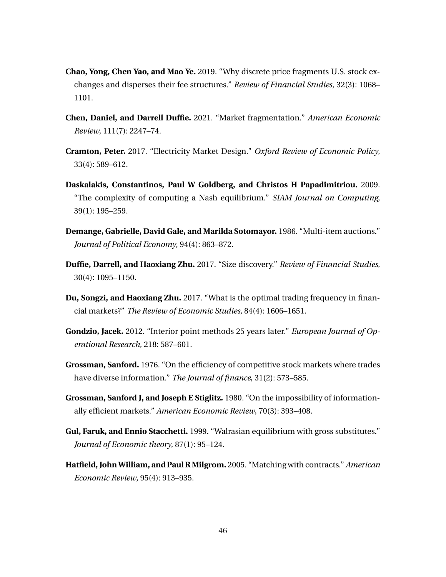- <span id="page-47-0"></span>**Chao, Yong, Chen Yao, and Mao Ye.** 2019. "Why discrete price fragments U.S. stock exchanges and disperses their fee structures." *Review of Financial Studies*, 32(3): 1068– 1101.
- <span id="page-47-3"></span>**Chen, Daniel, and Darrell Duffie.** 2021. "Market fragmentation." *American Economic Review*, 111(7): 2247–74.
- <span id="page-47-1"></span>**Cramton, Peter.** 2017. "Electricity Market Design." *Oxford Review of Economic Policy*, 33(4): 589–612.
- <span id="page-47-5"></span>**Daskalakis, Constantinos, Paul W Goldberg, and Christos H Papadimitriou.** 2009. "The complexity of computing a Nash equilibrium." *SIAM Journal on Computing*, 39(1): 195–259.
- <span id="page-47-8"></span>**Demange, Gabrielle, David Gale, and Marilda Sotomayor.** 1986. "Multi-item auctions." *Journal of Political Economy*, 94(4): 863–872.
- <span id="page-47-4"></span>**Duffie, Darrell, and Haoxiang Zhu.** 2017. "Size discovery." *Review of Financial Studies*, 30(4): 1095–1150.
- <span id="page-47-2"></span>**Du, Songzi, and Haoxiang Zhu.** 2017. "What is the optimal trading frequency in financial markets?" *The Review of Economic Studies*, 84(4): 1606–1651.
- <span id="page-47-9"></span>**Gondzio, Jacek.** 2012. "Interior point methods 25 years later." *European Journal of Operational Research*, 218: 587–601.
- <span id="page-47-10"></span>**Grossman, Sanford.** 1976. "On the efficiency of competitive stock markets where trades have diverse information." *The Journal of finance*, 31(2): 573–585.
- <span id="page-47-11"></span>**Grossman, Sanford J, and Joseph E Stiglitz.** 1980. "On the impossibility of informationally efficient markets." *American Economic Review*, 70(3): 393–408.
- <span id="page-47-6"></span>**Gul, Faruk, and Ennio Stacchetti.** 1999. "Walrasian equilibrium with gross substitutes." *Journal of Economic theory*, 87(1): 95–124.
- <span id="page-47-7"></span>**Hatfield, John William, and Paul R Milgrom.** 2005. "Matching with contracts." *American Economic Review*, 95(4): 913–935.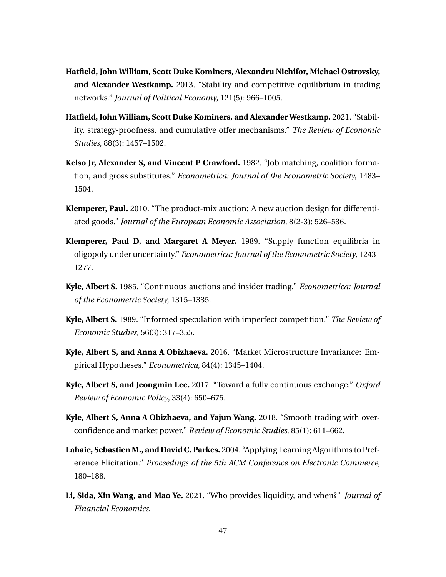- <span id="page-48-9"></span>**Hatfield, John William, Scott Duke Kominers, Alexandru Nichifor, Michael Ostrovsky, and Alexander Westkamp.** 2013. "Stability and competitive equilibrium in trading networks." *Journal of Political Economy*, 121(5): 966–1005.
- <span id="page-48-10"></span>**Hatfield, John William, Scott Duke Kominers, and Alexander Westkamp.** 2021. "Stability, strategy-proofness, and cumulative offer mechanisms." *The Review of Economic Studies*, 88(3): 1457–1502.
- <span id="page-48-8"></span>**Kelso Jr, Alexander S, and Vincent P Crawford.** 1982. "Job matching, coalition formation, and gross substitutes." *Econometrica: Journal of the Econometric Society*, 1483– 1504.
- <span id="page-48-3"></span>**Klemperer, Paul.** 2010. "The product-mix auction: A new auction design for differentiated goods." *Journal of the European Economic Association*, 8(2-3): 526–536.
- <span id="page-48-7"></span>**Klemperer, Paul D, and Margaret A Meyer.** 1989. "Supply function equilibria in oligopoly under uncertainty." *Econometrica: Journal of the Econometric Society*, 1243– 1277.
- <span id="page-48-5"></span>**Kyle, Albert S.** 1985. "Continuous auctions and insider trading." *Econometrica: Journal of the Econometric Society*, 1315–1335.
- <span id="page-48-6"></span>**Kyle, Albert S.** 1989. "Informed speculation with imperfect competition." *The Review of Economic Studies*, 56(3): 317–355.
- <span id="page-48-11"></span>**Kyle, Albert S, and Anna A Obizhaeva.** 2016. "Market Microstructure Invariance: Empirical Hypotheses." *Econometrica*, 84(4): 1345–1404.
- <span id="page-48-0"></span>**Kyle, Albert S, and Jeongmin Lee.** 2017. "Toward a fully continuous exchange." *Oxford Review of Economic Policy*, 33(4): 650–675.
- <span id="page-48-4"></span>**Kyle, Albert S, Anna A Obizhaeva, and Yajun Wang.** 2018. "Smooth trading with overconfidence and market power." *Review of Economic Studies*, 85(1): 611–662.
- <span id="page-48-2"></span>**Lahaie, Sebastien M., and David C. Parkes.** 2004. "Applying Learning Algorithms to Preference Elicitation." *Proceedings of the 5th ACM Conference on Electronic Commerce*, 180–188.
- <span id="page-48-1"></span>**Li, Sida, Xin Wang, and Mao Ye.** 2021. "Who provides liquidity, and when?" *Journal of Financial Economics*.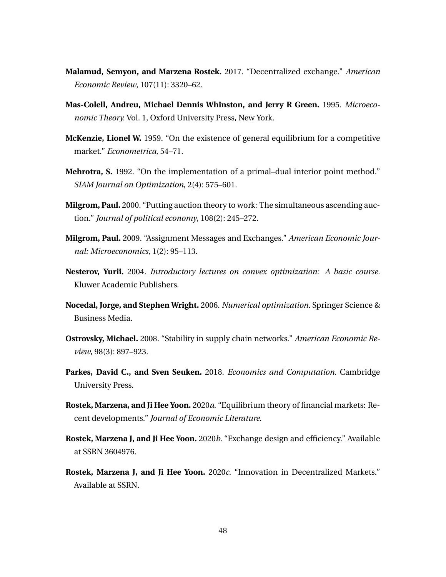- <span id="page-49-12"></span>**Malamud, Semyon, and Marzena Rostek.** 2017. "Decentralized exchange." *American Economic Review*, 107(11): 3320–62.
- <span id="page-49-5"></span>**Mas-Colell, Andreu, Michael Dennis Whinston, and Jerry R Green.** 1995. *Microeconomic Theory.* Vol. 1, Oxford University Press, New York.
- <span id="page-49-6"></span>**McKenzie, Lionel W.** 1959. "On the existence of general equilibrium for a competitive market." *Econometrica*, 54–71.
- <span id="page-49-11"></span>**Mehrotra, S.** 1992. "On the implementation of a primal–dual interior point method." *SIAM Journal on Optimization*, 2(4): 575–601.
- <span id="page-49-7"></span>**Milgrom, Paul.** 2000. "Putting auction theory to work: The simultaneous ascending auction." *Journal of political economy*, 108(2): 245–272.
- <span id="page-49-0"></span>**Milgrom, Paul.** 2009. "Assignment Messages and Exchanges." *American Economic Journal: Microeconomics*, 1(2): 95–113.
- <span id="page-49-10"></span>**Nesterov, Yurii.** 2004. *Introductory lectures on convex optimization: A basic course.* Kluwer Academic Publishers.
- <span id="page-49-9"></span>**Nocedal, Jorge, and Stephen Wright.** 2006. *Numerical optimization.* Springer Science & Business Media.
- <span id="page-49-8"></span>**Ostrovsky, Michael.** 2008. "Stability in supply chain networks." *American Economic Review*, 98(3): 897–923.
- <span id="page-49-1"></span>**Parkes, David C., and Sven Seuken.** 2018. *Economics and Computation.* Cambridge University Press.
- <span id="page-49-4"></span>**Rostek, Marzena, and Ji Hee Yoon.** 2020*a*. "Equilibrium theory of financial markets: Recent developments." *Journal of Economic Literature*.
- <span id="page-49-2"></span>**Rostek, Marzena J, and Ji Hee Yoon.** 2020*b*. "Exchange design and efficiency." Available at SSRN 3604976.
- <span id="page-49-3"></span>**Rostek, Marzena J, and Ji Hee Yoon.** 2020*c*. "Innovation in Decentralized Markets." Available at SSRN.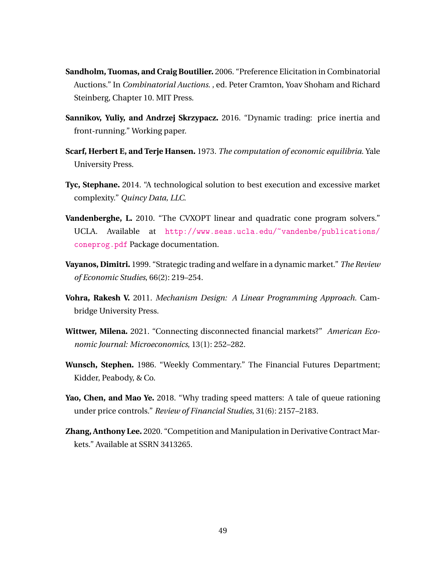- <span id="page-50-3"></span>**Sandholm, Tuomas, and Craig Boutilier.** 2006. "Preference Elicitation in Combinatorial Auctions." In *Combinatorial Auctions*. , ed. Peter Cramton, Yoav Shoham and Richard Steinberg, Chapter 10. MIT Press.
- <span id="page-50-10"></span>**Sannikov, Yuliy, and Andrzej Skrzypacz.** 2016. "Dynamic trading: price inertia and front-running." Working paper.
- <span id="page-50-1"></span>**Scarf, Herbert E, and Terje Hansen.** 1973. *The computation of economic equilibria.* Yale University Press.
- <span id="page-50-0"></span>**Tyc, Stephane.** 2014. "A technological solution to best execution and excessive market complexity." *Quincy Data, LLC*.
- <span id="page-50-9"></span>**Vandenberghe, L.** 2010. "The CVXOPT linear and quadratic cone program solvers." UCLA. Available at [http://www.seas.ucla.edu/~vandenbe/publications/](http://www.seas.ucla.edu/~vandenbe/publications/coneprog.pdf) [coneprog.pdf](http://www.seas.ucla.edu/~vandenbe/publications/coneprog.pdf) Package documentation.
- <span id="page-50-5"></span>**Vayanos, Dimitri.** 1999. "Strategic trading and welfare in a dynamic market." *The Review of Economic Studies*, 66(2): 219–254.
- <span id="page-50-4"></span>**Vohra, Rakesh V.** 2011. *Mechanism Design: A Linear Programming Approach.* Cambridge University Press.
- <span id="page-50-6"></span>**Wittwer, Milena.** 2021. "Connecting disconnected financial markets?" *American Economic Journal: Microeconomics*, 13(1): 252–282.
- <span id="page-50-8"></span>**Wunsch, Stephen.** 1986. "Weekly Commentary." The Financial Futures Department; Kidder, Peabody, & Co.
- <span id="page-50-2"></span>**Yao, Chen, and Mao Ye.** 2018. "Why trading speed matters: A tale of queue rationing under price controls." *Review of Financial Studies*, 31(6): 2157–2183.
- <span id="page-50-7"></span>**Zhang, Anthony Lee.** 2020. "Competition and Manipulation in Derivative Contract Markets." Available at SSRN 3413265.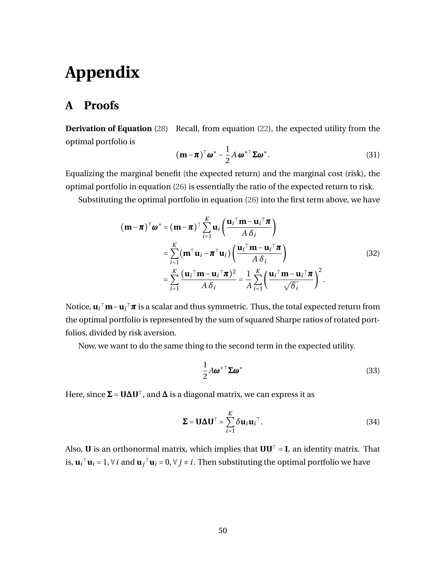## **Appendix**

## **A Proofs**

**Derivation of Equation** [\(28\)](#page-39-3) Recall, from equation [\(22\)](#page-37-2), the expected utility from the optimal portfolio is

$$
(\mathbf{m} - \boldsymbol{\pi})^{\top} \boldsymbol{\omega}^* - \frac{1}{2} A \boldsymbol{\omega}^{* \top} \boldsymbol{\Sigma} \boldsymbol{\omega}^*.
$$
 (31)

Equalizing the marginal benefit (the expected return) and the marginal cost (risk), the optimal portfolio in equation [\(26\)](#page-38-1) is essentially the ratio of the expected return to risk.

<span id="page-51-0"></span>Substituting the optimal portfolio in equation [\(26\)](#page-38-1) into the first term above, we have

$$
(\mathbf{m} - \boldsymbol{\pi})^{\top} \boldsymbol{\omega}^* = (\mathbf{m} - \boldsymbol{\pi})^{\top} \sum_{i=1}^K \mathbf{u}_i \left( \frac{\mathbf{u}_i^{\top} \mathbf{m} - \mathbf{u}_i^{\top} \boldsymbol{\pi}}{A \delta_i} \right)
$$
  
\n
$$
= \sum_{i=1}^K (\mathbf{m}^{\top} \mathbf{u}_i - \boldsymbol{\pi}^{\top} \mathbf{u}_i) \left( \frac{\mathbf{u}_i^{\top} \mathbf{m} - \mathbf{u}_i^{\top} \boldsymbol{\pi}}{A \delta_i} \right)
$$
  
\n
$$
= \sum_{i=1}^K \frac{(\mathbf{u}_i^{\top} \mathbf{m} - \mathbf{u}_i^{\top} \boldsymbol{\pi})^2}{A \delta_i} = \frac{1}{A} \sum_{i=1}^K \left( \frac{\mathbf{u}_i^{\top} \mathbf{m} - \mathbf{u}_i^{\top} \boldsymbol{\pi}}{\sqrt{\delta_i}} \right)^2.
$$
 (32)

Notice, **u***<sup>i</sup>* <sup>⊺</sup>**m**−**u***<sup>i</sup>* <sup>⊺</sup>*π* is a scalar and thus symmetric. Thus, the total expected return from the optimal portfolio is represented by the sum of squared Sharpe ratios of rotated portfolios, divided by risk aversion.

Now, we want to do the same thing to the second term in the expected utility.

$$
\frac{1}{2}A\boldsymbol{\omega}^*^\top \boldsymbol{\Sigma} \boldsymbol{\omega}^* \tag{33}
$$

Here, since  $\Sigma = U \Delta U^{\top}$ , and  $\Delta$  is a diagonal matrix, we can express it as

$$
\Sigma = \mathbf{U} \Delta \mathbf{U}^{\top} = \sum_{i=1}^{K} \delta \mathbf{u}_i \mathbf{u}_i^{\top}.
$$
 (34)

Also, **U** is an orthonormal matrix, which implies that  $UU^T = I$ , an identity matrix. That is,  $\mathbf{u}_i$ <sup>⊤</sup> $\mathbf{u}_i$  = 1, ∀ *i* and  $\mathbf{u}_j$ <sup>™</sup> $\mathbf{u}_i$  = 0, ∀ *j* ≠ *i*. Then substituting the optimal portfolio we have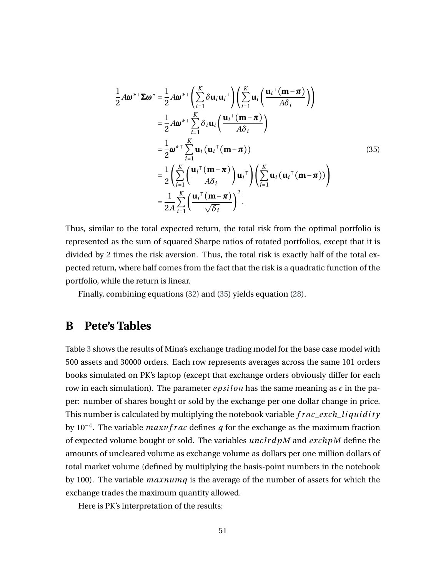<span id="page-52-0"></span>
$$
\frac{1}{2} A \boldsymbol{\omega}^{* \top} \boldsymbol{\Sigma} \boldsymbol{\omega}^{*} = \frac{1}{2} A \boldsymbol{\omega}^{* \top} \left( \sum_{i=1}^{K} \delta \mathbf{u}_{i} \mathbf{u}_{i}^{\top} \right) \left( \sum_{i=1}^{K} \mathbf{u}_{i} \left( \frac{\mathbf{u}_{i}^{\top} (\mathbf{m} - \boldsymbol{\pi})}{A \delta_{i}} \right) \right)
$$
\n
$$
= \frac{1}{2} A \boldsymbol{\omega}^{* \top} \sum_{i=1}^{K} \delta_{i} \mathbf{u}_{i} \left( \frac{\mathbf{u}_{i}^{\top} (\mathbf{m} - \boldsymbol{\pi})}{A \delta_{i}} \right)
$$
\n
$$
= \frac{1}{2} \boldsymbol{\omega}^{* \top} \sum_{i=1}^{K} \mathbf{u}_{i} (\mathbf{u}_{i}^{\top} (\mathbf{m} - \boldsymbol{\pi}))
$$
\n
$$
= \frac{1}{2} \left( \sum_{i=1}^{K} \left( \frac{\mathbf{u}_{i}^{\top} (\mathbf{m} - \boldsymbol{\pi})}{A \delta_{i}} \right) \mathbf{u}_{i}^{\top} \right) \left( \sum_{i=1}^{K} \mathbf{u}_{i} (\mathbf{u}_{i}^{\top} (\mathbf{m} - \boldsymbol{\pi})) \right)
$$
\n
$$
= \frac{1}{2} \sum_{i=1}^{K} \left( \frac{\mathbf{u}_{i}^{\top} (\mathbf{m} - \boldsymbol{\pi})}{\sqrt{\delta_{i}}} \right)^{2}.
$$
\n(35)

Thus, similar to the total expected return, the total risk from the optimal portfolio is represented as the sum of squared Sharpe ratios of rotated portfolios, except that it is divided by 2 times the risk aversion. Thus, the total risk is exactly half of the total expected return, where half comes from the fact that the risk is a quadratic function of the portfolio, while the return is linear.

Finally, combining equations [\(32\)](#page-51-0) and [\(35\)](#page-52-0) yields equation [\(28\)](#page-39-3).

#### **B Pete's Tables**

Table [3](#page-54-0) shows the results of Mina's exchange trading model for the base case model with 500 assets and 30000 orders. Each row represents averages across the same 101 orders books simulated on PK's laptop (except that exchange orders obviously differ for each row in each simulation). The parameter  $epsilon$  r  $position$  has the same meaning as  $\epsilon$  in the paper: number of shares bought or sold by the exchange per one dollar change in price. This number is calculated by multiplying the notebook variable *f r ac*\_*exch*\_*l i qui d i t y* by 10−<sup>4</sup> . The variable *maxv f r ac* defines *q* for the exchange as the maximum fraction of expected volume bought or sold. The variables *unc l rd pM* and *exchpM* define the amounts of uncleared volume as exchange volume as dollars per one million dollars of total market volume (defined by multiplying the basis-point numbers in the notebook by 100). The variable *maxnumq* is the average of the number of assets for which the exchange trades the maximum quantity allowed.

Here is PK's interpretation of the results: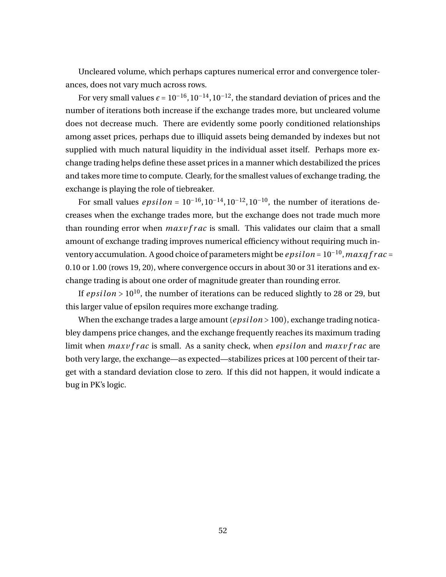Uncleared volume, which perhaps captures numerical error and convergence tolerances, does not vary much across rows.

For very small values  $\epsilon = 10^{-16}$ ,  $10^{-14}$ ,  $10^{-12}$ , the standard deviation of prices and the number of iterations both increase if the exchange trades more, but uncleared volume does not decrease much. There are evidently some poorly conditioned relationships among asset prices, perhaps due to illiquid assets being demanded by indexes but not supplied with much natural liquidity in the individual asset itself. Perhaps more exchange trading helps define these asset prices in a manner which destabilized the prices and takes more time to compute. Clearly, for the smallest values of exchange trading, the exchange is playing the role of tiebreaker.

For small values *epsilon* =  $10^{-16}$ ,  $10^{-14}$ ,  $10^{-12}$ ,  $10^{-10}$ , the number of iterations decreases when the exchange trades more, but the exchange does not trade much more than rounding error when *maxv f r ac* is small. This validates our claim that a small amount of exchange trading improves numerical efficiency without requiring much inventory accumulation. A good choice of parameters might be *ep si l on* = 10−<sup>10</sup> ,*maxq f r ac* = 0.10 or 1.00 (rows 19, 20), where convergence occurs in about 30 or 31 iterations and exchange trading is about one order of magnitude greater than rounding error.

If  $epsilon > 10^{10}$ , the number of iterations can be reduced slightly to 28 or 29, but this larger value of epsilon requires more exchange trading.

When the exchange trades a large amount (*epsilon* > 100), exchange trading noticabley dampens price changes, and the exchange frequently reaches its maximum trading limit when *maxv f r ac* is small. As a sanity check, when *epsilon* and *maxv f r ac* are both very large, the exchange—as expected—stabilizes prices at 100 percent of their target with a standard deviation close to zero. If this did not happen, it would indicate a bug in PK's logic.